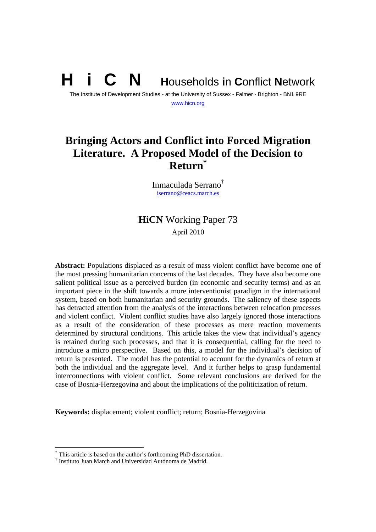# **N** Households in Conflict Network

The Institute of Development Studies - at the University of Sussex - Falmer - Brighton - BN1 9RE www.hicn.org

# **Bringing Actors and Conflict into Forced Migration Literature. A Proposed Model of the Decision to Return\***

Inmaculada Serrano† iserrano@ceacs.march.es

# **HiCN** Working Paper 73 April 2010

**Abstract:** Populations displaced as a result of mass violent conflict have become one of the most pressing humanitarian concerns of the last decades. They have also become one salient political issue as a perceived burden (in economic and security terms) and as an important piece in the shift towards a more interventionist paradigm in the international system, based on both humanitarian and security grounds. The saliency of these aspects has detracted attention from the analysis of the interactions between relocation processes and violent conflict. Violent conflict studies have also largely ignored those interactions as a result of the consideration of these processes as mere reaction movements determined by structural conditions. This article takes the view that individual's agency is retained during such processes, and that it is consequential, calling for the need to introduce a micro perspective. Based on this, a model for the individual's decision of return is presented. The model has the potential to account for the dynamics of return at both the individual and the aggregate level. And it further helps to grasp fundamental interconnections with violent conflict. Some relevant conclusions are derived for the case of Bosnia-Herzegovina and about the implications of the politicization of return.

**Keywords:** displacement; violent conflict; return; Bosnia-Herzegovina

<sup>\*</sup> This article is based on the author's forthcoming PhD dissertation.

<sup>†</sup> Instituto Juan March and Universidad Autónoma de Madrid.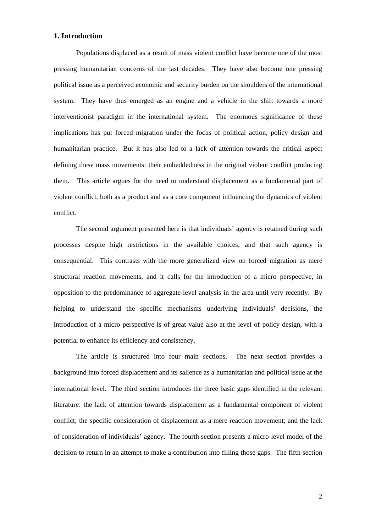# **1. Introduction**

Populations displaced as a result of mass violent conflict have become one of the most pressing humanitarian concerns of the last decades. They have also become one pressing political issue as a perceived economic and security burden on the shoulders of the international system. They have thus emerged as an engine and a vehicle in the shift towards a more interventionist paradigm in the international system. The enormous significance of these implications has put forced migration under the focus of political action, policy design and humanitarian practice. But it has also led to a lack of attention towards the critical aspect defining these mass movements: their embeddedness in the original violent conflict producing them. This article argues for the need to understand displacement as a fundamental part of violent conflict, both as a product and as a core component influencing the dynamics of violent conflict.

The second argument presented here is that individuals' agency is retained during such processes despite high restrictions in the available choices; and that such agency is consequential. This contrasts with the more generalized view on forced migration as mere structural reaction movements, and it calls for the introduction of a micro perspective, in opposition to the predominance of aggregate-level analysis in the area until very recently. By helping to understand the specific mechanisms underlying individuals' decisions, the introduction of a micro perspective is of great value also at the level of policy design, with a potential to enhance its efficiency and consistency.

The article is structured into four main sections. The next section provides a background into forced displacement and its salience as a humanitarian and political issue at the international level. The third section introduces the three basic gaps identified in the relevant literature: the lack of attention towards displacement as a fundamental component of violent conflict; the specific consideration of displacement as a mere reaction movement; and the lack of consideration of individuals' agency. The fourth section presents a micro-level model of the decision to return in an attempt to make a contribution into filling those gaps. The fifth section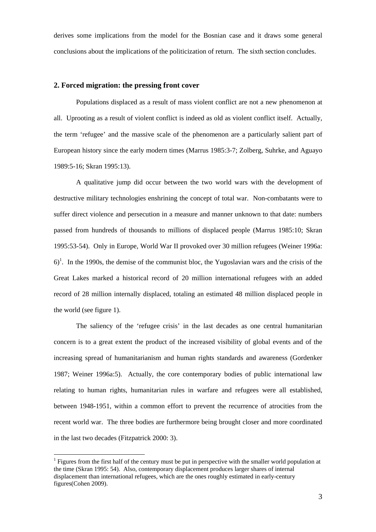derives some implications from the model for the Bosnian case and it draws some general conclusions about the implications of the politicization of return. The sixth section concludes.

### **2. Forced migration: the pressing front cover**

 Populations displaced as a result of mass violent conflict are not a new phenomenon at all. Uprooting as a result of violent conflict is indeed as old as violent conflict itself. Actually, the term 'refugee' and the massive scale of the phenomenon are a particularly salient part of European history since the early modern times (Marrus 1985:3-7; Zolberg, Suhrke, and Aguayo 1989:5-16; Skran 1995:13).

A qualitative jump did occur between the two world wars with the development of destructive military technologies enshrining the concept of total war. Non-combatants were to suffer direct violence and persecution in a measure and manner unknown to that date: numbers passed from hundreds of thousands to millions of displaced people (Marrus 1985:10; Skran 1995:53-54). Only in Europe, World War II provoked over 30 million refugees (Weiner 1996a:  $6$ <sup>1</sup>. In the 1990s, the demise of the communist bloc, the Yugoslavian wars and the crisis of the Great Lakes marked a historical record of 20 million international refugees with an added record of 28 million internally displaced, totaling an estimated 48 million displaced people in the world (see figure 1).

The saliency of the 'refugee crisis' in the last decades as one central humanitarian concern is to a great extent the product of the increased visibility of global events and of the increasing spread of humanitarianism and human rights standards and awareness (Gordenker 1987; Weiner 1996a:5). Actually, the core contemporary bodies of public international law relating to human rights, humanitarian rules in warfare and refugees were all established, between 1948-1951, within a common effort to prevent the recurrence of atrocities from the recent world war. The three bodies are furthermore being brought closer and more coordinated in the last two decades (Fitzpatrick 2000: 3).

 $<sup>1</sup>$  Figures from the first half of the century must be put in perspective with the smaller world population at</sup> the time (Skran 1995: 54). Also, contemporary displacement produces larger shares of internal displacement than international refugees, which are the ones roughly estimated in early-century figures(Cohen 2009).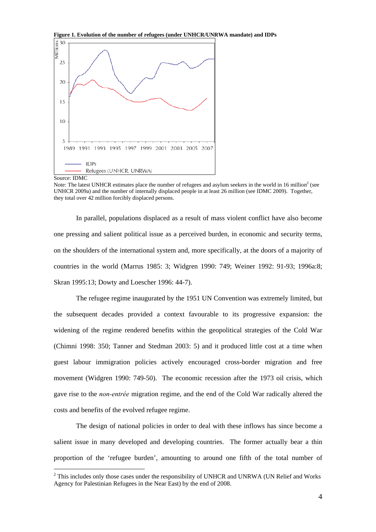

 $\overline{a}$ 

 In parallel, populations displaced as a result of mass violent conflict have also become one pressing and salient political issue as a perceived burden, in economic and security terms, on the shoulders of the international system and, more specifically, at the doors of a majority of countries in the world (Marrus 1985: 3; Widgren 1990: 749; Weiner 1992: 91-93; 1996a:8; Skran 1995:13; Dowty and Loescher 1996: 44-7).

The refugee regime inaugurated by the 1951 UN Convention was extremely limited, but the subsequent decades provided a context favourable to its progressive expansion: the widening of the regime rendered benefits within the geopolitical strategies of the Cold War (Chimni 1998: 350; Tanner and Stedman 2003: 5) and it produced little cost at a time when guest labour immigration policies actively encouraged cross-border migration and free movement (Widgren 1990: 749-50). The economic recession after the 1973 oil crisis, which gave rise to the *non-entrée* migration regime, and the end of the Cold War radically altered the costs and benefits of the evolved refugee regime.

The design of national policies in order to deal with these inflows has since become a salient issue in many developed and developing countries. The former actually bear a thin proportion of the 'refugee burden', amounting to around one fifth of the total number of

Note: The latest UNHCR estimates place the number of refugees and asylum seekers in the world in 16 million<sup>2</sup> (see UNHCR 2009a) and the number of internally displaced people in at least 26 million (see IDMC 2009). Together, they total over 42 million forcibly displaced persons.

 $2$  This includes only those cases under the responsibility of UNHCR and UNRWA (UN Relief and Works Agency for Palestinian Refugees in the Near East) by the end of 2008.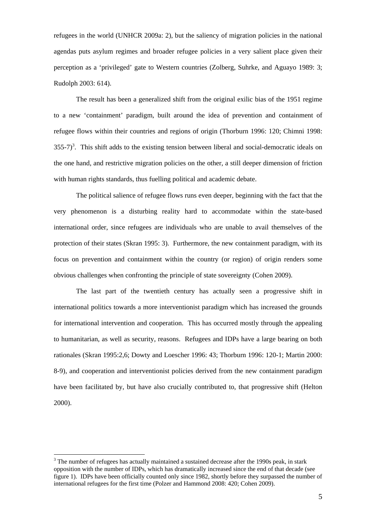refugees in the world (UNHCR 2009a: 2), but the saliency of migration policies in the national agendas puts asylum regimes and broader refugee policies in a very salient place given their perception as a 'privileged' gate to Western countries (Zolberg, Suhrke, and Aguayo 1989: 3; Rudolph 2003: 614).

The result has been a generalized shift from the original exilic bias of the 1951 regime to a new 'containment' paradigm, built around the idea of prevention and containment of refugee flows within their countries and regions of origin (Thorburn 1996: 120; Chimni 1998:  $355-7$ <sup>3</sup>. This shift adds to the existing tension between liberal and social-democratic ideals on the one hand, and restrictive migration policies on the other, a still deeper dimension of friction with human rights standards, thus fuelling political and academic debate.

 The political salience of refugee flows runs even deeper, beginning with the fact that the very phenomenon is a disturbing reality hard to accommodate within the state-based international order, since refugees are individuals who are unable to avail themselves of the protection of their states (Skran 1995: 3). Furthermore, the new containment paradigm, with its focus on prevention and containment within the country (or region) of origin renders some obvious challenges when confronting the principle of state sovereignty (Cohen 2009).

 The last part of the twentieth century has actually seen a progressive shift in international politics towards a more interventionist paradigm which has increased the grounds for international intervention and cooperation. This has occurred mostly through the appealing to humanitarian, as well as security, reasons. Refugees and IDPs have a large bearing on both rationales (Skran 1995:2,6; Dowty and Loescher 1996: 43; Thorburn 1996: 120-1; Martin 2000: 8-9), and cooperation and interventionist policies derived from the new containment paradigm have been facilitated by, but have also crucially contributed to, that progressive shift (Helton 2000).

 $3$  The number of refugees has actually maintained a sustained decrease after the 1990s peak, in stark opposition with the number of IDPs, which has dramatically increased since the end of that decade (see figure 1). IDPs have been officially counted only since 1982, shortly before they surpassed the number of international refugees for the first time (Polzer and Hammond 2008: 420; Cohen 2009).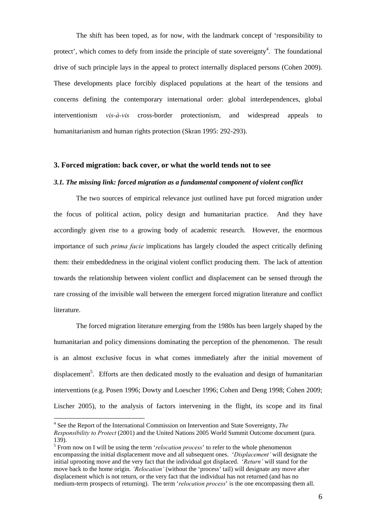The shift has been toped, as for now, with the landmark concept of 'responsibility to protect', which comes to defy from inside the principle of state sovereignty<sup>4</sup>. The foundational drive of such principle lays in the appeal to protect internally displaced persons (Cohen 2009). These developments place forcibly displaced populations at the heart of the tensions and concerns defining the contemporary international order: global interdependences, global interventionism *vis-à-vis* cross-border protectionism, and widespread appeals to humanitarianism and human rights protection (Skran 1995: 292-293).

# **3. Forced migration: back cover, or what the world tends not to see**

#### *3.1. The missing link: forced migration as a fundamental component of violent conflict*

The two sources of empirical relevance just outlined have put forced migration under the focus of political action, policy design and humanitarian practice. And they have accordingly given rise to a growing body of academic research. However, the enormous importance of such *prima facie* implications has largely clouded the aspect critically defining them: their embeddedness in the original violent conflict producing them. The lack of attention towards the relationship between violent conflict and displacement can be sensed through the rare crossing of the invisible wall between the emergent forced migration literature and conflict literature.

The forced migration literature emerging from the 1980s has been largely shaped by the humanitarian and policy dimensions dominating the perception of the phenomenon. The result is an almost exclusive focus in what comes immediately after the initial movement of displacement<sup>5</sup>. Efforts are then dedicated mostly to the evaluation and design of humanitarian interventions (e.g. Posen 1996; Dowty and Loescher 1996; Cohen and Deng 1998; Cohen 2009; Lischer 2005), to the analysis of factors intervening in the flight, its scope and its final

<sup>4</sup> See the Report of the International Commission on Intervention and State Sovereignty, *The Responsibility to Protect* (2001) and the United Nations 2005 World Summit Outcome document (para. 139).

<sup>&</sup>lt;sup>5</sup> From now on I will be using the term *'relocation process'* to refer to the whole phenomenon encompassing the initial displacement move and all subsequent ones. '*Displacement'* will designate the initial uprooting move and the very fact that the individual got displaced. '*Return'* will stand for the move back to the home origin. *'Relocation'* (without the 'process' tail) will designate any move after displacement which is not return, or the very fact that the individual has not returned (and has no medium-term prospects of returning). The term '*relocation process*' is the one encompassing them all.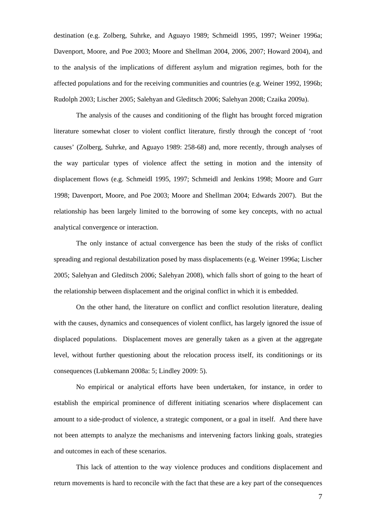destination (e.g. Zolberg, Suhrke, and Aguayo 1989; Schmeidl 1995, 1997; Weiner 1996a; Davenport, Moore, and Poe 2003; Moore and Shellman 2004, 2006, 2007; Howard 2004), and to the analysis of the implications of different asylum and migration regimes, both for the affected populations and for the receiving communities and countries (e.g. Weiner 1992, 1996b; Rudolph 2003; Lischer 2005; Salehyan and Gleditsch 2006; Salehyan 2008; Czaika 2009a).

The analysis of the causes and conditioning of the flight has brought forced migration literature somewhat closer to violent conflict literature, firstly through the concept of 'root causes' (Zolberg, Suhrke, and Aguayo 1989: 258-68) and, more recently, through analyses of the way particular types of violence affect the setting in motion and the intensity of displacement flows (e.g. Schmeidl 1995, 1997; Schmeidl and Jenkins 1998; Moore and Gurr 1998; Davenport, Moore, and Poe 2003; Moore and Shellman 2004; Edwards 2007). But the relationship has been largely limited to the borrowing of some key concepts, with no actual analytical convergence or interaction.

The only instance of actual convergence has been the study of the risks of conflict spreading and regional destabilization posed by mass displacements (e.g. Weiner 1996a; Lischer 2005; Salehyan and Gleditsch 2006; Salehyan 2008), which falls short of going to the heart of the relationship between displacement and the original conflict in which it is embedded.

On the other hand, the literature on conflict and conflict resolution literature, dealing with the causes, dynamics and consequences of violent conflict, has largely ignored the issue of displaced populations. Displacement moves are generally taken as a given at the aggregate level, without further questioning about the relocation process itself, its conditionings or its consequences (Lubkemann 2008a: 5; Lindley 2009: 5).

No empirical or analytical efforts have been undertaken, for instance, in order to establish the empirical prominence of different initiating scenarios where displacement can amount to a side-product of violence, a strategic component, or a goal in itself. And there have not been attempts to analyze the mechanisms and intervening factors linking goals, strategies and outcomes in each of these scenarios.

This lack of attention to the way violence produces and conditions displacement and return movements is hard to reconcile with the fact that these are a key part of the consequences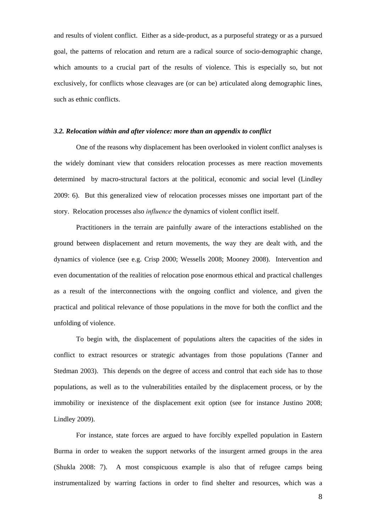and results of violent conflict. Either as a side-product, as a purposeful strategy or as a pursued goal, the patterns of relocation and return are a radical source of socio-demographic change, which amounts to a crucial part of the results of violence. This is especially so, but not exclusively, for conflicts whose cleavages are (or can be) articulated along demographic lines, such as ethnic conflicts.

### *3.2. Relocation within and after violence: more than an appendix to conflict*

One of the reasons why displacement has been overlooked in violent conflict analyses is the widely dominant view that considers relocation processes as mere reaction movements determined by macro-structural factors at the political, economic and social level (Lindley 2009: 6). But this generalized view of relocation processes misses one important part of the story. Relocation processes also *influence* the dynamics of violent conflict itself.

Practitioners in the terrain are painfully aware of the interactions established on the ground between displacement and return movements, the way they are dealt with, and the dynamics of violence (see e.g. Crisp 2000; Wessells 2008; Mooney 2008). Intervention and even documentation of the realities of relocation pose enormous ethical and practical challenges as a result of the interconnections with the ongoing conflict and violence, and given the practical and political relevance of those populations in the move for both the conflict and the unfolding of violence.

To begin with, the displacement of populations alters the capacities of the sides in conflict to extract resources or strategic advantages from those populations (Tanner and Stedman 2003). This depends on the degree of access and control that each side has to those populations, as well as to the vulnerabilities entailed by the displacement process, or by the immobility or inexistence of the displacement exit option (see for instance Justino 2008; Lindley 2009).

For instance, state forces are argued to have forcibly expelled population in Eastern Burma in order to weaken the support networks of the insurgent armed groups in the area (Shukla 2008: 7). A most conspicuous example is also that of refugee camps being instrumentalized by warring factions in order to find shelter and resources, which was a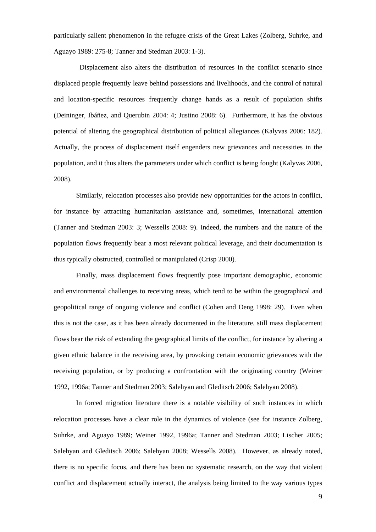particularly salient phenomenon in the refugee crisis of the Great Lakes (Zolberg, Suhrke, and Aguayo 1989: 275-8; Tanner and Stedman 2003: 1-3).

 Displacement also alters the distribution of resources in the conflict scenario since displaced people frequently leave behind possessions and livelihoods, and the control of natural and location-specific resources frequently change hands as a result of population shifts (Deininger, Ibáñez, and Querubin 2004: 4; Justino 2008: 6). Furthermore, it has the obvious potential of altering the geographical distribution of political allegiances (Kalyvas 2006: 182). Actually, the process of displacement itself engenders new grievances and necessities in the population, and it thus alters the parameters under which conflict is being fought (Kalyvas 2006, 2008).

Similarly, relocation processes also provide new opportunities for the actors in conflict, for instance by attracting humanitarian assistance and, sometimes, international attention (Tanner and Stedman 2003: 3; Wessells 2008: 9). Indeed, the numbers and the nature of the population flows frequently bear a most relevant political leverage, and their documentation is thus typically obstructed, controlled or manipulated (Crisp 2000).

Finally, mass displacement flows frequently pose important demographic, economic and environmental challenges to receiving areas, which tend to be within the geographical and geopolitical range of ongoing violence and conflict (Cohen and Deng 1998: 29). Even when this is not the case, as it has been already documented in the literature, still mass displacement flows bear the risk of extending the geographical limits of the conflict, for instance by altering a given ethnic balance in the receiving area, by provoking certain economic grievances with the receiving population, or by producing a confrontation with the originating country (Weiner 1992, 1996a; Tanner and Stedman 2003; Salehyan and Gleditsch 2006; Salehyan 2008).

In forced migration literature there is a notable visibility of such instances in which relocation processes have a clear role in the dynamics of violence (see for instance Zolberg, Suhrke, and Aguayo 1989; Weiner 1992, 1996a; Tanner and Stedman 2003; Lischer 2005; Salehyan and Gleditsch 2006; Salehyan 2008; Wessells 2008). However, as already noted, there is no specific focus, and there has been no systematic research, on the way that violent conflict and displacement actually interact, the analysis being limited to the way various types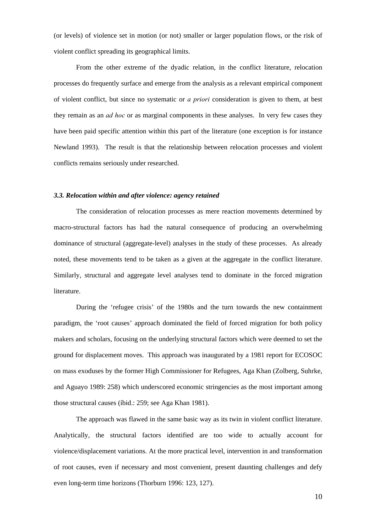(or levels) of violence set in motion (or not) smaller or larger population flows, or the risk of violent conflict spreading its geographical limits.

From the other extreme of the dyadic relation, in the conflict literature, relocation processes do frequently surface and emerge from the analysis as a relevant empirical component of violent conflict, but since no systematic or *a priori* consideration is given to them, at best they remain as an *ad hoc* or as marginal components in these analyses. In very few cases they have been paid specific attention within this part of the literature (one exception is for instance Newland 1993). The result is that the relationship between relocation processes and violent conflicts remains seriously under researched.

#### *3.3. Relocation within and after violence: agency retained*

The consideration of relocation processes as mere reaction movements determined by macro-structural factors has had the natural consequence of producing an overwhelming dominance of structural (aggregate-level) analyses in the study of these processes. As already noted, these movements tend to be taken as a given at the aggregate in the conflict literature. Similarly, structural and aggregate level analyses tend to dominate in the forced migration literature.

During the 'refugee crisis' of the 1980s and the turn towards the new containment paradigm, the 'root causes' approach dominated the field of forced migration for both policy makers and scholars, focusing on the underlying structural factors which were deemed to set the ground for displacement moves. This approach was inaugurated by a 1981 report for ECOSOC on mass exoduses by the former High Commissioner for Refugees, Aga Khan (Zolberg, Suhrke, and Aguayo 1989: 258) which underscored economic stringencies as the most important among those structural causes (íbid.: 259; see Aga Khan 1981).

The approach was flawed in the same basic way as its twin in violent conflict literature. Analytically, the structural factors identified are too wide to actually account for violence/displacement variations. At the more practical level, intervention in and transformation of root causes, even if necessary and most convenient, present daunting challenges and defy even long-term time horizons (Thorburn 1996: 123, 127).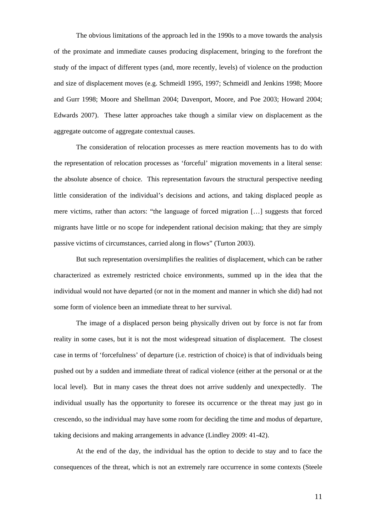The obvious limitations of the approach led in the 1990s to a move towards the analysis of the proximate and immediate causes producing displacement, bringing to the forefront the study of the impact of different types (and, more recently, levels) of violence on the production and size of displacement moves (e.g. Schmeidl 1995, 1997; Schmeidl and Jenkins 1998; Moore and Gurr 1998; Moore and Shellman 2004; Davenport, Moore, and Poe 2003; Howard 2004; Edwards 2007). These latter approaches take though a similar view on displacement as the aggregate outcome of aggregate contextual causes.

 The consideration of relocation processes as mere reaction movements has to do with the representation of relocation processes as 'forceful' migration movements in a literal sense: the absolute absence of choice. This representation favours the structural perspective needing little consideration of the individual's decisions and actions, and taking displaced people as mere victims, rather than actors: "the language of forced migration […] suggests that forced migrants have little or no scope for independent rational decision making; that they are simply passive victims of circumstances, carried along in flows" (Turton 2003).

But such representation oversimplifies the realities of displacement, which can be rather characterized as extremely restricted choice environments, summed up in the idea that the individual would not have departed (or not in the moment and manner in which she did) had not some form of violence been an immediate threat to her survival.

The image of a displaced person being physically driven out by force is not far from reality in some cases, but it is not the most widespread situation of displacement. The closest case in terms of 'forcefulness' of departure (i.e. restriction of choice) is that of individuals being pushed out by a sudden and immediate threat of radical violence (either at the personal or at the local level). But in many cases the threat does not arrive suddenly and unexpectedly. The individual usually has the opportunity to foresee its occurrence or the threat may just go in crescendo, so the individual may have some room for deciding the time and modus of departure, taking decisions and making arrangements in advance (Lindley 2009: 41-42).

At the end of the day, the individual has the option to decide to stay and to face the consequences of the threat, which is not an extremely rare occurrence in some contexts (Steele

11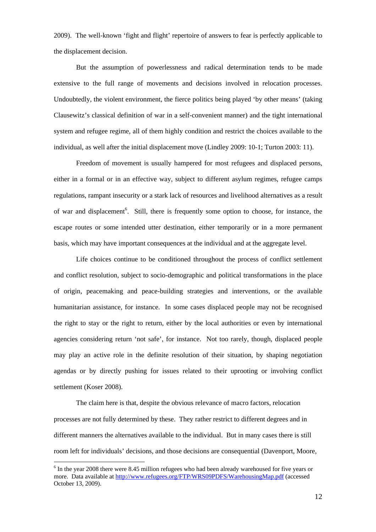2009). The well-known 'fight and flight' repertoire of answers to fear is perfectly applicable to the displacement decision.

But the assumption of powerlessness and radical determination tends to be made extensive to the full range of movements and decisions involved in relocation processes. Undoubtedly, the violent environment, the fierce politics being played 'by other means' (taking Clausewitz's classical definition of war in a self-convenient manner) and the tight international system and refugee regime, all of them highly condition and restrict the choices available to the individual, as well after the initial displacement move (Lindley 2009: 10-1; Turton 2003: 11).

Freedom of movement is usually hampered for most refugees and displaced persons, either in a formal or in an effective way, subject to different asylum regimes, refugee camps regulations, rampant insecurity or a stark lack of resources and livelihood alternatives as a result of war and displacement<sup>6</sup>. Still, there is frequently some option to choose, for instance, the escape routes or some intended utter destination, either temporarily or in a more permanent basis, which may have important consequences at the individual and at the aggregate level.

Life choices continue to be conditioned throughout the process of conflict settlement and conflict resolution, subject to socio-demographic and political transformations in the place of origin, peacemaking and peace-building strategies and interventions, or the available humanitarian assistance, for instance. In some cases displaced people may not be recognised the right to stay or the right to return, either by the local authorities or even by international agencies considering return 'not safe', for instance. Not too rarely, though, displaced people may play an active role in the definite resolution of their situation, by shaping negotiation agendas or by directly pushing for issues related to their uprooting or involving conflict settlement (Koser 2008).

 The claim here is that, despite the obvious relevance of macro factors, relocation processes are not fully determined by these. They rather restrict to different degrees and in different manners the alternatives available to the individual. But in many cases there is still room left for individuals' decisions, and those decisions are consequential (Davenport, Moore,

<sup>&</sup>lt;sup>6</sup> In the year 2008 there were 8.45 million refugees who had been already warehoused for five years or more. Data available at http://www.refugees.org/FTP/WRS09PDFS/WarehousingMap.pdf (accessed October 13, 2009).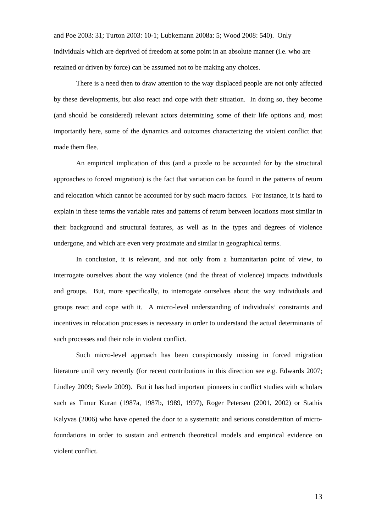and Poe 2003: 31; Turton 2003: 10-1; Lubkemann 2008a: 5; Wood 2008: 540). Only individuals which are deprived of freedom at some point in an absolute manner (i.e. who are retained or driven by force) can be assumed not to be making any choices.

There is a need then to draw attention to the way displaced people are not only affected by these developments, but also react and cope with their situation. In doing so, they become (and should be considered) relevant actors determining some of their life options and, most importantly here, some of the dynamics and outcomes characterizing the violent conflict that made them flee.

An empirical implication of this (and a puzzle to be accounted for by the structural approaches to forced migration) is the fact that variation can be found in the patterns of return and relocation which cannot be accounted for by such macro factors. For instance, it is hard to explain in these terms the variable rates and patterns of return between locations most similar in their background and structural features, as well as in the types and degrees of violence undergone, and which are even very proximate and similar in geographical terms.

In conclusion, it is relevant, and not only from a humanitarian point of view, to interrogate ourselves about the way violence (and the threat of violence) impacts individuals and groups. But, more specifically, to interrogate ourselves about the way individuals and groups react and cope with it. A micro-level understanding of individuals' constraints and incentives in relocation processes is necessary in order to understand the actual determinants of such processes and their role in violent conflict.

Such micro-level approach has been conspicuously missing in forced migration literature until very recently (for recent contributions in this direction see e.g. Edwards 2007; Lindley 2009; Steele 2009). But it has had important pioneers in conflict studies with scholars such as Timur Kuran (1987a, 1987b, 1989, 1997), Roger Petersen (2001, 2002) or Stathis Kalyvas (2006) who have opened the door to a systematic and serious consideration of microfoundations in order to sustain and entrench theoretical models and empirical evidence on violent conflict.

13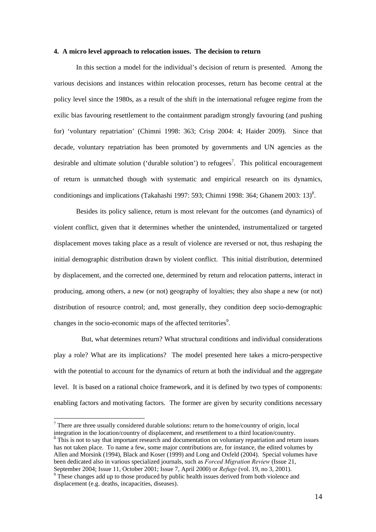#### **4. A micro level approach to relocation issues. The decision to return**

In this section a model for the individual's decision of return is presented. Among the various decisions and instances within relocation processes, return has become central at the policy level since the 1980s, as a result of the shift in the international refugee regime from the exilic bias favouring resettlement to the containment paradigm strongly favouring (and pushing for) 'voluntary repatriation' (Chimni 1998: 363; Crisp 2004: 4; Haider 2009). Since that decade, voluntary repatriation has been promoted by governments and UN agencies as the desirable and ultimate solution ('durable solution') to refugees<sup>7</sup>. This political encouragement of return is unmatched though with systematic and empirical research on its dynamics, conditionings and implications (Takahashi 1997: 593; Chimni 1998: 364; Ghanem 2003: 13)<sup>8</sup>.

Besides its policy salience, return is most relevant for the outcomes (and dynamics) of violent conflict, given that it determines whether the unintended, instrumentalized or targeted displacement moves taking place as a result of violence are reversed or not, thus reshaping the initial demographic distribution drawn by violent conflict. This initial distribution, determined by displacement, and the corrected one, determined by return and relocation patterns, interact in producing, among others, a new (or not) geography of loyalties; they also shape a new (or not) distribution of resource control; and, most generally, they condition deep socio-demographic changes in the socio-economic maps of the affected territories<sup>9</sup>.

 But, what determines return? What structural conditions and individual considerations play a role? What are its implications? The model presented here takes a micro-perspective with the potential to account for the dynamics of return at both the individual and the aggregate level. It is based on a rational choice framework, and it is defined by two types of components: enabling factors and motivating factors. The former are given by security conditions necessary

 $\overline{a}$ 

<sup>8</sup> This is not to say that important research and documentation on voluntary repatriation and return issues has not taken place. To name a few, some major contributions are, for instance, the edited volumes by Allen and Morsink (1994), Black and Koser (1999) and Long and Oxfeld (2004). Special volumes have been dedicated also in various specialized journals, such as *Forced Migration Review* (Issue 21, September 2004; Issue 11, October 2001; Issue 7, April 2000) or *Refuge* (vol. 19, no 3, 2001). 9

 $<sup>7</sup>$  There are three usually considered durable solutions: return to the home/country of origin, local</sup> integration in the location/country of displacement, and resettlement to a third location/country.

 $\degree$  These changes add up to those produced by public health issues derived from both violence and displacement (e.g. deaths, incapacities, diseases).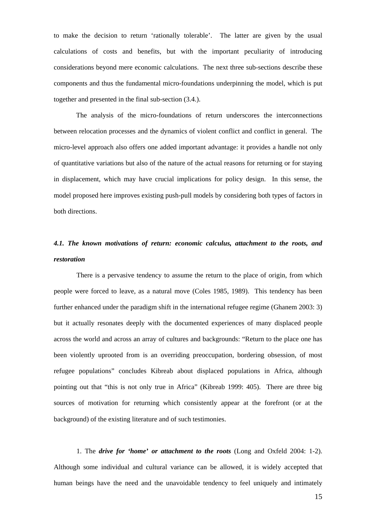to make the decision to return 'rationally tolerable'. The latter are given by the usual calculations of costs and benefits, but with the important peculiarity of introducing considerations beyond mere economic calculations. The next three sub-sections describe these components and thus the fundamental micro-foundations underpinning the model, which is put together and presented in the final sub-section (3.4.).

The analysis of the micro-foundations of return underscores the interconnections between relocation processes and the dynamics of violent conflict and conflict in general. The micro-level approach also offers one added important advantage: it provides a handle not only of quantitative variations but also of the nature of the actual reasons for returning or for staying in displacement, which may have crucial implications for policy design. In this sense, the model proposed here improves existing push-pull models by considering both types of factors in both directions.

# *4.1. The known motivations of return: economic calculus, attachment to the roots, and restoration*

There is a pervasive tendency to assume the return to the place of origin, from which people were forced to leave, as a natural move (Coles 1985, 1989). This tendency has been further enhanced under the paradigm shift in the international refugee regime (Ghanem 2003: 3) but it actually resonates deeply with the documented experiences of many displaced people across the world and across an array of cultures and backgrounds: "Return to the place one has been violently uprooted from is an overriding preoccupation, bordering obsession, of most refugee populations" concludes Kibreab about displaced populations in Africa, although pointing out that "this is not only true in Africa" (Kibreab 1999: 405). There are three big sources of motivation for returning which consistently appear at the forefront (or at the background) of the existing literature and of such testimonies.

1. The *drive for 'home' or attachment to the roots* (Long and Oxfeld 2004: 1-2). Although some individual and cultural variance can be allowed, it is widely accepted that human beings have the need and the unavoidable tendency to feel uniquely and intimately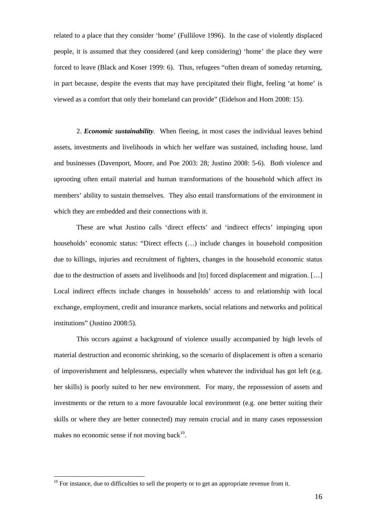related to a place that they consider 'home' (Fullilove 1996). In the case of violently displaced people, it is assumed that they considered (and keep considering) 'home' the place they were forced to leave (Black and Koser 1999: 6). Thus, refugees "often dream of someday returning, in part because, despite the events that may have precipitated their flight, feeling 'at home' is viewed as a comfort that only their homeland can provide" (Eidelson and Horn 2008: 15).

2. *Economic sustainability*. When fleeing, in most cases the individual leaves behind assets, investments and livelihoods in which her welfare was sustained, including house, land and businesses (Davenport, Moore, and Poe 2003: 28; Justino 2008: 5-6). Both violence and uprooting often entail material and human transformations of the household which affect its members' ability to sustain themselves. They also entail transformations of the environment in which they are embedded and their connections with it.

These are what Justino calls 'direct effects' and 'indirect effects' impinging upon households' economic status: "Direct effects (…) include changes in household composition due to killings, injuries and recruitment of fighters, changes in the household economic status due to the destruction of assets and livelihoods and [to] forced displacement and migration. […] Local indirect effects include changes in households' access to and relationship with local exchange, employment, credit and insurance markets, social relations and networks and political institutions" (Justino 2008:5).

This occurs against a background of violence usually accompanied by high levels of material destruction and economic shrinking, so the scenario of displacement is often a scenario of impoverishment and helplessness, especially when whatever the individual has got left (e.g. her skills) is poorly suited to her new environment. For many, the repossession of assets and investments or the return to a more favourable local environment (e.g. one better suiting their skills or where they are better connected) may remain crucial and in many cases repossession makes no economic sense if not moving back $10$ .

 $10$  For instance, due to difficulties to sell the property or to get an appropriate revenue from it.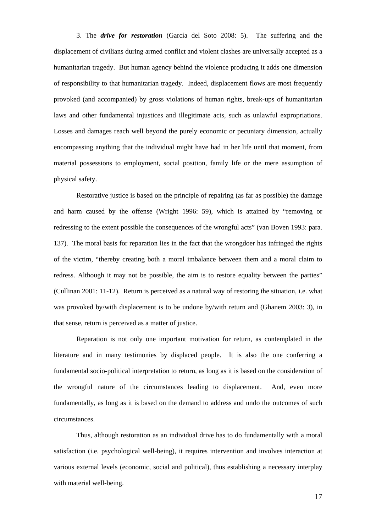3. The *drive for restoration* (García del Soto 2008: 5). The suffering and the displacement of civilians during armed conflict and violent clashes are universally accepted as a humanitarian tragedy. But human agency behind the violence producing it adds one dimension of responsibility to that humanitarian tragedy. Indeed, displacement flows are most frequently provoked (and accompanied) by gross violations of human rights, break-ups of humanitarian laws and other fundamental injustices and illegitimate acts, such as unlawful expropriations. Losses and damages reach well beyond the purely economic or pecuniary dimension, actually encompassing anything that the individual might have had in her life until that moment, from material possessions to employment, social position, family life or the mere assumption of physical safety.

Restorative justice is based on the principle of repairing (as far as possible) the damage and harm caused by the offense (Wright 1996: 59), which is attained by "removing or redressing to the extent possible the consequences of the wrongful acts" (van Boven 1993: para. 137). The moral basis for reparation lies in the fact that the wrongdoer has infringed the rights of the victim, "thereby creating both a moral imbalance between them and a moral claim to redress. Although it may not be possible, the aim is to restore equality between the parties" (Cullinan 2001: 11-12). Return is perceived as a natural way of restoring the situation, i.e. what was provoked by/with displacement is to be undone by/with return and (Ghanem 2003: 3), in that sense, return is perceived as a matter of justice.

Reparation is not only one important motivation for return, as contemplated in the literature and in many testimonies by displaced people. It is also the one conferring a fundamental socio-political interpretation to return, as long as it is based on the consideration of the wrongful nature of the circumstances leading to displacement. And, even more fundamentally, as long as it is based on the demand to address and undo the outcomes of such circumstances.

Thus, although restoration as an individual drive has to do fundamentally with a moral satisfaction (i.e. psychological well-being), it requires intervention and involves interaction at various external levels (economic, social and political), thus establishing a necessary interplay with material well-being.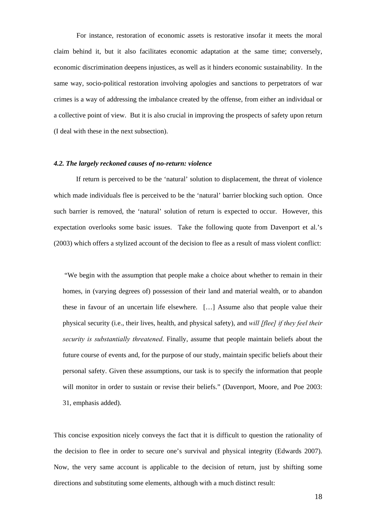For instance, restoration of economic assets is restorative insofar it meets the moral claim behind it, but it also facilitates economic adaptation at the same time; conversely, economic discrimination deepens injustices, as well as it hinders economic sustainability. In the same way, socio-political restoration involving apologies and sanctions to perpetrators of war crimes is a way of addressing the imbalance created by the offense, from either an individual or a collective point of view. But it is also crucial in improving the prospects of safety upon return (I deal with these in the next subsection).

# *4.2. The largely reckoned causes of no-return: violence*

 If return is perceived to be the 'natural' solution to displacement, the threat of violence which made individuals flee is perceived to be the 'natural' barrier blocking such option. Once such barrier is removed, the 'natural' solution of return is expected to occur. However, this expectation overlooks some basic issues. Take the following quote from Davenport et al.'s (2003) which offers a stylized account of the decision to flee as a result of mass violent conflict:

 "We begin with the assumption that people make a choice about whether to remain in their homes, in (varying degrees of) possession of their land and material wealth, or to abandon these in favour of an uncertain life elsewhere. […] Assume also that people value their physical security (i.e., their lives, health, and physical safety), and *will [flee] if they feel their security is substantially threatened*. Finally, assume that people maintain beliefs about the future course of events and, for the purpose of our study, maintain specific beliefs about their personal safety. Given these assumptions, our task is to specify the information that people will monitor in order to sustain or revise their beliefs." (Davenport, Moore, and Poe 2003: 31, emphasis added).

This concise exposition nicely conveys the fact that it is difficult to question the rationality of the decision to flee in order to secure one's survival and physical integrity (Edwards 2007). Now, the very same account is applicable to the decision of return, just by shifting some directions and substituting some elements, although with a much distinct result: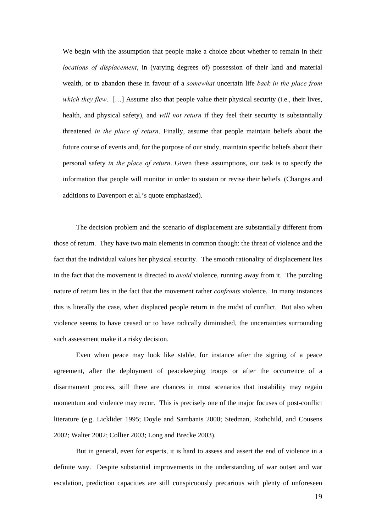We begin with the assumption that people make a choice about whether to remain in their *locations of displacement*, in (varying degrees of) possession of their land and material wealth, or to abandon these in favour of a *somewhat* uncertain life *back in the place from which they flew.* [...] Assume also that people value their physical security (i.e., their lives, health, and physical safety), and *will not return* if they feel their security is substantially threatened *in the place of return*. Finally, assume that people maintain beliefs about the future course of events and, for the purpose of our study, maintain specific beliefs about their personal safety *in the place of return*. Given these assumptions, our task is to specify the information that people will monitor in order to sustain or revise their beliefs. (Changes and additions to Davenport et al.'s quote emphasized).

The decision problem and the scenario of displacement are substantially different from those of return. They have two main elements in common though: the threat of violence and the fact that the individual values her physical security. The smooth rationality of displacement lies in the fact that the movement is directed to *avoid* violence, running away from it. The puzzling nature of return lies in the fact that the movement rather *confronts* violence. In many instances this is literally the case, when displaced people return in the midst of conflict. But also when violence seems to have ceased or to have radically diminished, the uncertainties surrounding such assessment make it a risky decision.

Even when peace may look like stable, for instance after the signing of a peace agreement, after the deployment of peacekeeping troops or after the occurrence of a disarmament process, still there are chances in most scenarios that instability may regain momentum and violence may recur. This is precisely one of the major focuses of post-conflict literature (e.g. Licklider 1995; Doyle and Sambanis 2000; Stedman, Rothchild, and Cousens 2002; Walter 2002; Collier 2003; Long and Brecke 2003).

But in general, even for experts, it is hard to assess and assert the end of violence in a definite way. Despite substantial improvements in the understanding of war outset and war escalation, prediction capacities are still conspicuously precarious with plenty of unforeseen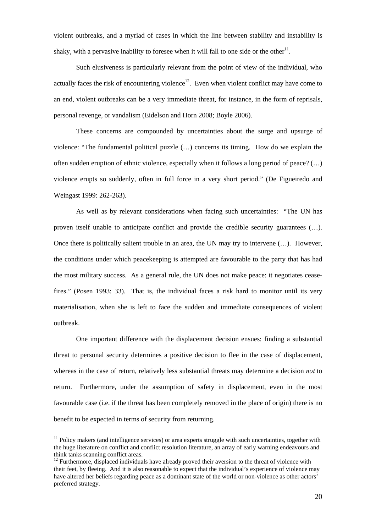violent outbreaks, and a myriad of cases in which the line between stability and instability is shaky, with a pervasive inability to foresee when it will fall to one side or the other<sup>11</sup>.

Such elusiveness is particularly relevant from the point of view of the individual, who actually faces the risk of encountering violence<sup>12</sup>. Even when violent conflict may have come to an end, violent outbreaks can be a very immediate threat, for instance, in the form of reprisals, personal revenge, or vandalism (Eidelson and Horn 2008; Boyle 2006).

These concerns are compounded by uncertainties about the surge and upsurge of violence: "The fundamental political puzzle (…) concerns its timing. How do we explain the often sudden eruption of ethnic violence, especially when it follows a long period of peace? (…) violence erupts so suddenly, often in full force in a very short period." (De Figueiredo and Weingast 1999: 262-263).

As well as by relevant considerations when facing such uncertainties: "The UN has proven itself unable to anticipate conflict and provide the credible security guarantees (…). Once there is politically salient trouble in an area, the UN may try to intervene (…). However, the conditions under which peacekeeping is attempted are favourable to the party that has had the most military success. As a general rule, the UN does not make peace: it negotiates ceasefires." (Posen 1993: 33). That is, the individual faces a risk hard to monitor until its very materialisation, when she is left to face the sudden and immediate consequences of violent outbreak.

One important difference with the displacement decision ensues: finding a substantial threat to personal security determines a positive decision to flee in the case of displacement, whereas in the case of return, relatively less substantial threats may determine a decision *not* to return. Furthermore, under the assumption of safety in displacement, even in the most favourable case (i.e. if the threat has been completely removed in the place of origin) there is no benefit to be expected in terms of security from returning.

 $11$  Policy makers (and intelligence services) or area experts struggle with such uncertainties, together with the huge literature on conflict and conflict resolution literature, an array of early warning endeavours and think tanks scanning conflict areas.

<sup>&</sup>lt;sup>12</sup> Furthermore, displaced individuals have already proved their aversion to the threat of violence with their feet, by fleeing. And it is also reasonable to expect that the individual's experience of violence may have altered her beliefs regarding peace as a dominant state of the world or non-violence as other actors' preferred strategy.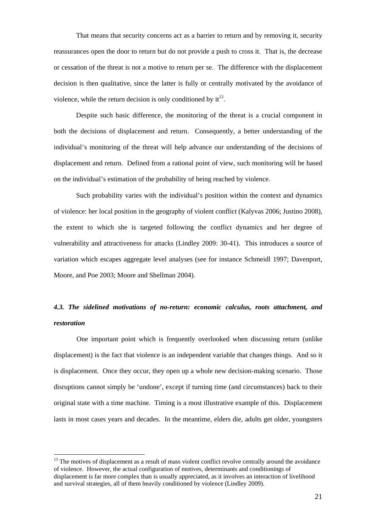That means that security concerns act as a barrier to return and by removing it, security reassurances open the door to return but do not provide a push to cross it. That is, the decrease or cessation of the threat is not a motive to return per se. The difference with the displacement decision is then qualitative, since the latter is fully or centrally motivated by the avoidance of violence, while the return decision is only conditioned by  $it^{13}$ .

Despite such basic difference, the monitoring of the threat is a crucial component in both the decisions of displacement and return. Consequently, a better understanding of the individual's monitoring of the threat will help advance our understanding of the decisions of displacement and return. Defined from a rational point of view, such monitoring will be based on the individual's estimation of the probability of being reached by violence.

Such probability varies with the individual's position within the context and dynamics of violence: her local position in the geography of violent conflict (Kalyvas 2006; Justino 2008), the extent to which she is targeted following the conflict dynamics and her degree of vulnerability and attractiveness for attacks (Lindley 2009: 30-41). This introduces a source of variation which escapes aggregate level analyses (see for instance Schmeidl 1997; Davenport, Moore, and Poe 2003; Moore and Shellman 2004).

# *4.3. The sidelined motivations of no-return: economic calculus, roots attachment, and restoration*

One important point which is frequently overlooked when discussing return (unlike displacement) is the fact that violence is an independent variable that changes things. And so it is displacement. Once they occur, they open up a whole new decision-making scenario. Those disruptions cannot simply be 'undone', except if turning time (and circumstances) back to their original state with a time machine. Timing is a most illustrative example of this. Displacement lasts in most cases years and decades. In the meantime, elders die, adults get older, youngsters

 $13$  The motives of displacement as a result of mass violent conflict revolve centrally around the avoidance of violence. However, the actual configuration of motives, determinants and conditionings of displacement is far more complex than is usually appreciated, as it involves an interaction of livelihood and survival strategies, all of them heavily conditioned by violence (Lindley 2009).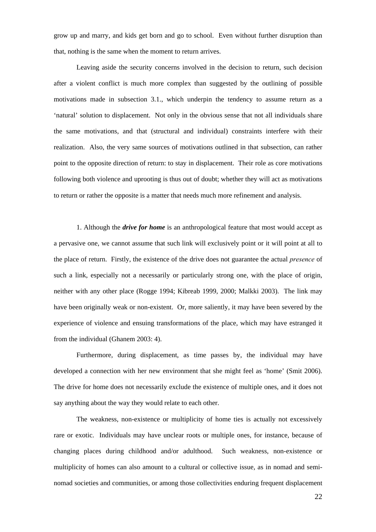grow up and marry, and kids get born and go to school. Even without further disruption than that, nothing is the same when the moment to return arrives.

Leaving aside the security concerns involved in the decision to return, such decision after a violent conflict is much more complex than suggested by the outlining of possible motivations made in subsection 3.1., which underpin the tendency to assume return as a 'natural' solution to displacement. Not only in the obvious sense that not all individuals share the same motivations, and that (structural and individual) constraints interfere with their realization. Also, the very same sources of motivations outlined in that subsection, can rather point to the opposite direction of return: to stay in displacement. Their role as core motivations following both violence and uprooting is thus out of doubt; whether they will act as motivations to return or rather the opposite is a matter that needs much more refinement and analysis.

1. Although the *drive for home* is an anthropological feature that most would accept as a pervasive one, we cannot assume that such link will exclusively point or it will point at all to the place of return. Firstly, the existence of the drive does not guarantee the actual *presence* of such a link, especially not a necessarily or particularly strong one, with the place of origin, neither with any other place (Rogge 1994; Kibreab 1999, 2000; Malkki 2003). The link may have been originally weak or non-existent. Or, more saliently, it may have been severed by the experience of violence and ensuing transformations of the place, which may have estranged it from the individual (Ghanem 2003: 4).

Furthermore, during displacement, as time passes by, the individual may have developed a connection with her new environment that she might feel as 'home' (Smit 2006). The drive for home does not necessarily exclude the existence of multiple ones, and it does not say anything about the way they would relate to each other.

The weakness, non-existence or multiplicity of home ties is actually not excessively rare or exotic. Individuals may have unclear roots or multiple ones, for instance, because of changing places during childhood and/or adulthood. Such weakness, non-existence or multiplicity of homes can also amount to a cultural or collective issue, as in nomad and seminomad societies and communities, or among those collectivities enduring frequent displacement

22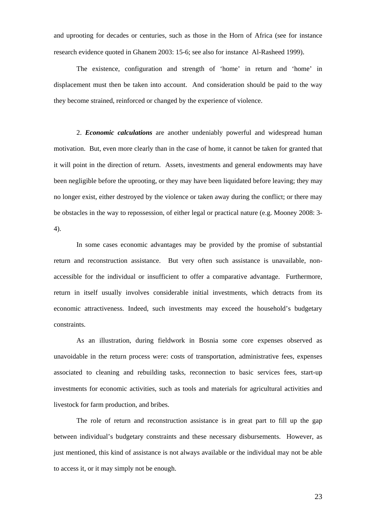and uprooting for decades or centuries, such as those in the Horn of Africa (see for instance research evidence quoted in Ghanem 2003: 15-6; see also for instance Al-Rasheed 1999).

The existence, configuration and strength of 'home' in return and 'home' in displacement must then be taken into account. And consideration should be paid to the way they become strained, reinforced or changed by the experience of violence.

2. *Economic calculations* are another undeniably powerful and widespread human motivation. But, even more clearly than in the case of home, it cannot be taken for granted that it will point in the direction of return. Assets, investments and general endowments may have been negligible before the uprooting, or they may have been liquidated before leaving; they may no longer exist, either destroyed by the violence or taken away during the conflict; or there may be obstacles in the way to repossession, of either legal or practical nature (e.g. Mooney 2008: 3- 4).

In some cases economic advantages may be provided by the promise of substantial return and reconstruction assistance. But very often such assistance is unavailable, nonaccessible for the individual or insufficient to offer a comparative advantage. Furthermore, return in itself usually involves considerable initial investments, which detracts from its economic attractiveness. Indeed, such investments may exceed the household's budgetary constraints.

As an illustration, during fieldwork in Bosnia some core expenses observed as unavoidable in the return process were: costs of transportation, administrative fees, expenses associated to cleaning and rebuilding tasks, reconnection to basic services fees, start-up investments for economic activities, such as tools and materials for agricultural activities and livestock for farm production, and bribes.

The role of return and reconstruction assistance is in great part to fill up the gap between individual's budgetary constraints and these necessary disbursements. However, as just mentioned, this kind of assistance is not always available or the individual may not be able to access it, or it may simply not be enough.

23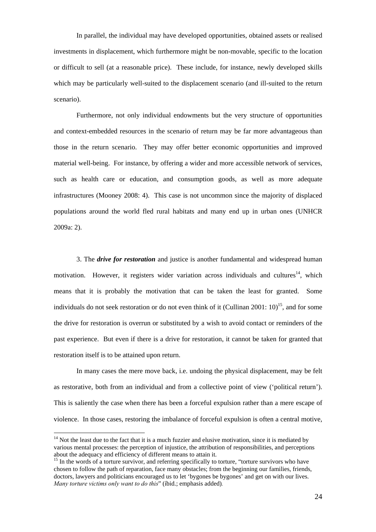In parallel, the individual may have developed opportunities, obtained assets or realised investments in displacement, which furthermore might be non-movable, specific to the location or difficult to sell (at a reasonable price). These include, for instance, newly developed skills which may be particularly well-suited to the displacement scenario (and ill-suited to the return scenario).

Furthermore, not only individual endowments but the very structure of opportunities and context-embedded resources in the scenario of return may be far more advantageous than those in the return scenario. They may offer better economic opportunities and improved material well-being. For instance, by offering a wider and more accessible network of services, such as health care or education, and consumption goods, as well as more adequate infrastructures (Mooney 2008: 4). This case is not uncommon since the majority of displaced populations around the world fled rural habitats and many end up in urban ones (UNHCR 2009a: 2).

3. The *drive for restoration* and justice is another fundamental and widespread human motivation. However, it registers wider variation across individuals and cultures<sup>14</sup>, which means that it is probably the motivation that can be taken the least for granted. Some individuals do not seek restoration or do not even think of it (Cullinan 2001:  $10^{15}$ , and for some the drive for restoration is overrun or substituted by a wish to avoid contact or reminders of the past experience. But even if there is a drive for restoration, it cannot be taken for granted that restoration itself is to be attained upon return.

In many cases the mere move back, i.e. undoing the physical displacement, may be felt as restorative, both from an individual and from a collective point of view ('political return'). This is saliently the case when there has been a forceful expulsion rather than a mere escape of violence. In those cases, restoring the imbalance of forceful expulsion is often a central motive,

 $14$  Not the least due to the fact that it is a much fuzzier and elusive motivation, since it is mediated by various mental processes: the perception of injustice, the attribution of responsibilities, and perceptions

 $15$  In the words of a torture survivor, and referring specifically to torture, "torture survivors who have chosen to follow the path of reparation, face many obstacles; from the beginning our families, friends, doctors, lawyers and politicians encouraged us to let 'bygones be bygones' and get on with our lives. *Many torture victims only want to do this*" (íbid.; emphasis added)*.*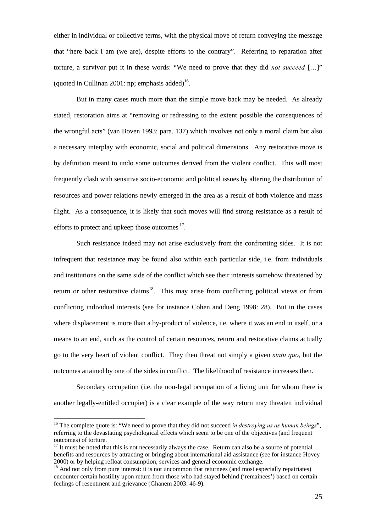either in individual or collective terms, with the physical move of return conveying the message that "here back I am (we are), despite efforts to the contrary". Referring to reparation after torture, a survivor put it in these words: "We need to prove that they did *not succeed* […]" (quoted in Cullinan 2001: np; emphasis added)<sup>16</sup>.

But in many cases much more than the simple move back may be needed. As already stated, restoration aims at "removing or redressing to the extent possible the consequences of the wrongful acts" (van Boven 1993: para. 137) which involves not only a moral claim but also a necessary interplay with economic, social and political dimensions. Any restorative move is by definition meant to undo some outcomes derived from the violent conflict. This will most frequently clash with sensitive socio-economic and political issues by altering the distribution of resources and power relations newly emerged in the area as a result of both violence and mass flight. As a consequence, it is likely that such moves will find strong resistance as a result of efforts to protect and upkeep those outcomes <sup>17</sup>.

Such resistance indeed may not arise exclusively from the confronting sides. It is not infrequent that resistance may be found also within each particular side, i.e. from individuals and institutions on the same side of the conflict which see their interests somehow threatened by return or other restorative claims<sup>18</sup>. This may arise from conflicting political views or from conflicting individual interests (see for instance Cohen and Deng 1998: 28). But in the cases where displacement is more than a by-product of violence, i.e. where it was an end in itself, or a means to an end, such as the control of certain resources, return and restorative claims actually go to the very heart of violent conflict. They then threat not simply a given *statu quo*, but the outcomes attained by one of the sides in conflict. The likelihood of resistance increases then.

Secondary occupation (i.e. the non-legal occupation of a living unit for whom there is another legally-entitled occupier) is a clear example of the way return may threaten individual

<sup>&</sup>lt;sup>16</sup> The complete quote is: "We need to prove that they did not succeed *in destroying us as human beings*", referring to the devastating psychological effects which seem to be one of the objectives (and frequent outcomes) of torture.

 $17$  It must be noted that this is not necessarily always the case. Return can also be a source of potential benefits and resources by attracting or bringing about international aid assistance (see for instance Hovey 2000) or by helping refloat consumption, services and general economic exchange.

<sup>&</sup>lt;sup>18</sup> And not only from pure interest: it is not uncommon that returnees (and most especially repatriates) encounter certain hostility upon return from those who had stayed behind ('remainees') based on certain feelings of resentment and grievance (Ghanem 2003: 46-9).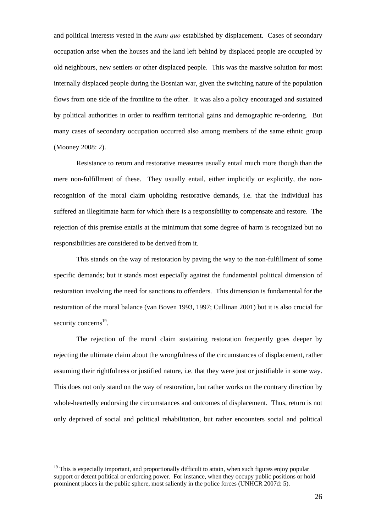and political interests vested in the *statu quo* established by displacement. Cases of secondary occupation arise when the houses and the land left behind by displaced people are occupied by old neighbours, new settlers or other displaced people. This was the massive solution for most internally displaced people during the Bosnian war, given the switching nature of the population flows from one side of the frontline to the other. It was also a policy encouraged and sustained by political authorities in order to reaffirm territorial gains and demographic re-ordering. But many cases of secondary occupation occurred also among members of the same ethnic group (Mooney 2008: 2).

Resistance to return and restorative measures usually entail much more though than the mere non-fulfillment of these. They usually entail, either implicitly or explicitly, the nonrecognition of the moral claim upholding restorative demands, i.e. that the individual has suffered an illegitimate harm for which there is a responsibility to compensate and restore. The rejection of this premise entails at the minimum that some degree of harm is recognized but no responsibilities are considered to be derived from it.

This stands on the way of restoration by paving the way to the non-fulfillment of some specific demands; but it stands most especially against the fundamental political dimension of restoration involving the need for sanctions to offenders. This dimension is fundamental for the restoration of the moral balance (van Boven 1993, 1997; Cullinan 2001) but it is also crucial for security concerns $^{19}$ .

The rejection of the moral claim sustaining restoration frequently goes deeper by rejecting the ultimate claim about the wrongfulness of the circumstances of displacement, rather assuming their rightfulness or justified nature, i.e. that they were just or justifiable in some way. This does not only stand on the way of restoration, but rather works on the contrary direction by whole-heartedly endorsing the circumstances and outcomes of displacement. Thus, return is not only deprived of social and political rehabilitation, but rather encounters social and political

 $19$  This is especially important, and proportionally difficult to attain, when such figures enjoy popular support or detent political or enforcing power. For instance, when they occupy public positions or hold prominent places in the public sphere, most saliently in the police forces (UNHCR 2007d: 5).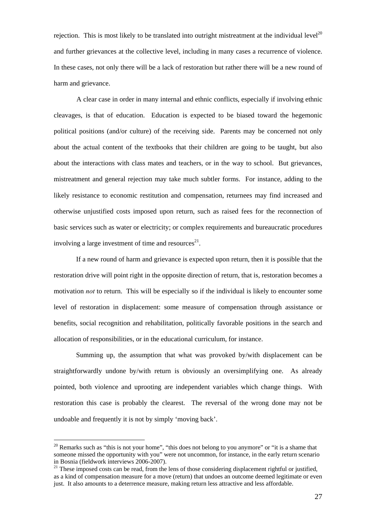rejection. This is most likely to be translated into outright mistreatment at the individual level<sup>20</sup> and further grievances at the collective level, including in many cases a recurrence of violence. In these cases, not only there will be a lack of restoration but rather there will be a new round of harm and grievance.

A clear case in order in many internal and ethnic conflicts, especially if involving ethnic cleavages, is that of education. Education is expected to be biased toward the hegemonic political positions (and/or culture) of the receiving side. Parents may be concerned not only about the actual content of the textbooks that their children are going to be taught, but also about the interactions with class mates and teachers, or in the way to school. But grievances, mistreatment and general rejection may take much subtler forms. For instance, adding to the likely resistance to economic restitution and compensation, returnees may find increased and otherwise unjustified costs imposed upon return, such as raised fees for the reconnection of basic services such as water or electricity; or complex requirements and bureaucratic procedures involving a large investment of time and resources $^{21}$ .

If a new round of harm and grievance is expected upon return, then it is possible that the restoration drive will point right in the opposite direction of return, that is, restoration becomes a motivation *not* to return. This will be especially so if the individual is likely to encounter some level of restoration in displacement: some measure of compensation through assistance or benefits, social recognition and rehabilitation, politically favorable positions in the search and allocation of responsibilities, or in the educational curriculum, for instance.

 Summing up, the assumption that what was provoked by/with displacement can be straightforwardly undone by/with return is obviously an oversimplifying one. As already pointed, both violence and uprooting are independent variables which change things. With restoration this case is probably the clearest. The reversal of the wrong done may not be undoable and frequently it is not by simply 'moving back'.

 $20$  Remarks such as "this is not your home", "this does not belong to you anymore" or "it is a shame that someone missed the opportunity with you" were not uncommon, for instance, in the early return scenario in Bosnia (fieldwork interviews 2006-2007).

<sup>&</sup>lt;sup>21</sup> These imposed costs can be read, from the lens of those considering displacement rightful or justified, as a kind of compensation measure for a move (return) that undoes an outcome deemed legitimate or even just. It also amounts to a deterrence measure, making return less attractive and less affordable.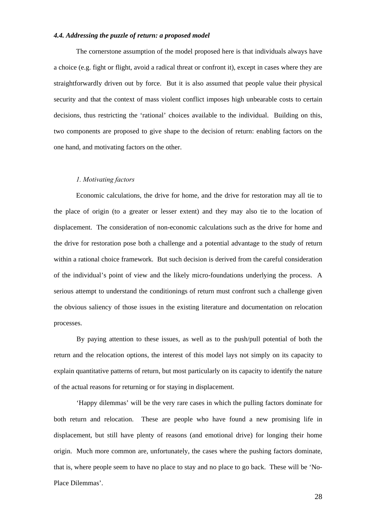#### *4.4. Addressing the puzzle of return: a proposed model*

The cornerstone assumption of the model proposed here is that individuals always have a choice (e.g. fight or flight, avoid a radical threat or confront it), except in cases where they are straightforwardly driven out by force. But it is also assumed that people value their physical security and that the context of mass violent conflict imposes high unbearable costs to certain decisions, thus restricting the 'rational' choices available to the individual. Building on this, two components are proposed to give shape to the decision of return: enabling factors on the one hand, and motivating factors on the other.

## *1. Motivating factors*

Economic calculations, the drive for home, and the drive for restoration may all tie to the place of origin (to a greater or lesser extent) and they may also tie to the location of displacement. The consideration of non-economic calculations such as the drive for home and the drive for restoration pose both a challenge and a potential advantage to the study of return within a rational choice framework. But such decision is derived from the careful consideration of the individual's point of view and the likely micro-foundations underlying the process. A serious attempt to understand the conditionings of return must confront such a challenge given the obvious saliency of those issues in the existing literature and documentation on relocation processes.

By paying attention to these issues, as well as to the push/pull potential of both the return and the relocation options, the interest of this model lays not simply on its capacity to explain quantitative patterns of return, but most particularly on its capacity to identify the nature of the actual reasons for returning or for staying in displacement.

'Happy dilemmas' will be the very rare cases in which the pulling factors dominate for both return and relocation. These are people who have found a new promising life in displacement, but still have plenty of reasons (and emotional drive) for longing their home origin. Much more common are, unfortunately, the cases where the pushing factors dominate, that is, where people seem to have no place to stay and no place to go back. These will be 'No-Place Dilemmas'.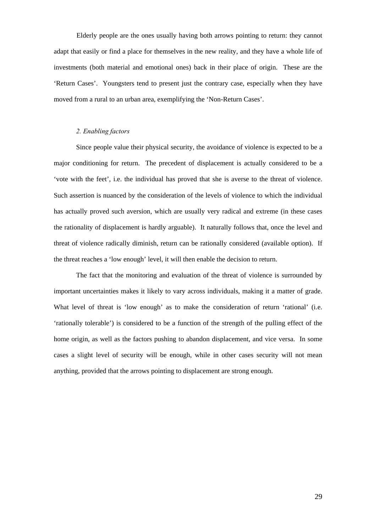Elderly people are the ones usually having both arrows pointing to return: they cannot adapt that easily or find a place for themselves in the new reality, and they have a whole life of investments (both material and emotional ones) back in their place of origin. These are the 'Return Cases'. Youngsters tend to present just the contrary case, especially when they have moved from a rural to an urban area, exemplifying the 'Non-Return Cases'.

## *2. Enabling factors*

Since people value their physical security, the avoidance of violence is expected to be a major conditioning for return. The precedent of displacement is actually considered to be a 'vote with the feet', i.e. the individual has proved that she is averse to the threat of violence. Such assertion is nuanced by the consideration of the levels of violence to which the individual has actually proved such aversion, which are usually very radical and extreme (in these cases the rationality of displacement is hardly arguable). It naturally follows that, once the level and threat of violence radically diminish, return can be rationally considered (available option). If the threat reaches a 'low enough' level, it will then enable the decision to return.

The fact that the monitoring and evaluation of the threat of violence is surrounded by important uncertainties makes it likely to vary across individuals, making it a matter of grade. What level of threat is 'low enough' as to make the consideration of return 'rational' (i.e. 'rationally tolerable') is considered to be a function of the strength of the pulling effect of the home origin, as well as the factors pushing to abandon displacement, and vice versa. In some cases a slight level of security will be enough, while in other cases security will not mean anything, provided that the arrows pointing to displacement are strong enough.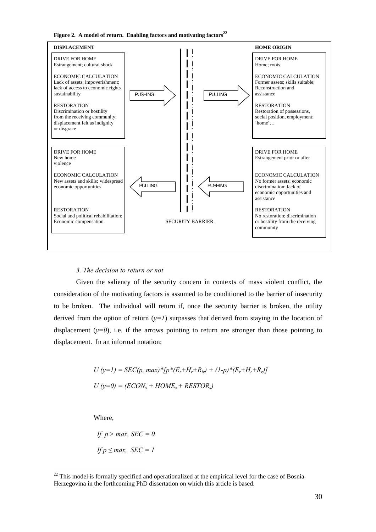Figure 2. A model of return. Enabling factors and motivating factors<sup>22</sup>



#### *3. The decision to return or not*

Given the saliency of the security concern in contexts of mass violent conflict, the consideration of the motivating factors is assumed to be conditioned to the barrier of insecurity to be broken. The individual will return if, once the security barrier is broken, the utility derived from the option of return  $(y=1)$  surpasses that derived from staying in the location of displacement  $(y=0)$ , i.e. if the arrows pointing to return are stronger than those pointing to displacement. In an informal notation:

$$
U (y=1) = SEC(p, max)*[p*(E_r+H_r+R_{ir}) + (1-p)*(E_r+H_r+R_{ir})]
$$
  

$$
U (y=0) = (ECON_s + HOME_s + RESTOR_s)
$$

Where,

If 
$$
p > max
$$
,  $SEC = 0$   
If  $p \le max$ ,  $SEC = 1$ 

<sup>&</sup>lt;sup>22</sup> This model is formally specified and operationalized at the empirical level for the case of Bosnia-Herzegovina in the forthcoming PhD dissertation on which this article is based.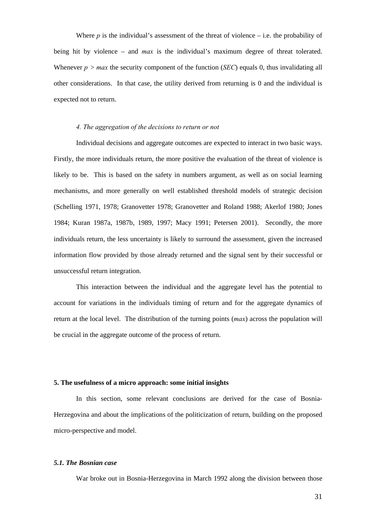Where  $p$  is the individual's assessment of the threat of violence – i.e. the probability of being hit by violence – and *max* is the individual's maximum degree of threat tolerated. Whenever  $p > max$  the security component of the function (*SEC*) equals 0, thus invalidating all other considerations. In that case, the utility derived from returning is 0 and the individual is expected not to return.

### *4. The aggregation of the decisions to return or not*

Individual decisions and aggregate outcomes are expected to interact in two basic ways. Firstly, the more individuals return, the more positive the evaluation of the threat of violence is likely to be. This is based on the safety in numbers argument, as well as on social learning mechanisms, and more generally on well established threshold models of strategic decision (Schelling 1971, 1978; Granovetter 1978; Granovetter and Roland 1988; Akerlof 1980; Jones 1984; Kuran 1987a, 1987b, 1989, 1997; Macy 1991; Petersen 2001). Secondly, the more individuals return, the less uncertainty is likely to surround the assessment, given the increased information flow provided by those already returned and the signal sent by their successful or unsuccessful return integration.

This interaction between the individual and the aggregate level has the potential to account for variations in the individuals timing of return and for the aggregate dynamics of return at the local level. The distribution of the turning points (*max*) across the population will be crucial in the aggregate outcome of the process of return.

## **5. The usefulness of a micro approach: some initial insights**

 In this section, some relevant conclusions are derived for the case of Bosnia-Herzegovina and about the implications of the politicization of return, building on the proposed micro-perspective and model.

### *5.1. The Bosnian case*

War broke out in Bosnia-Herzegovina in March 1992 along the division between those

31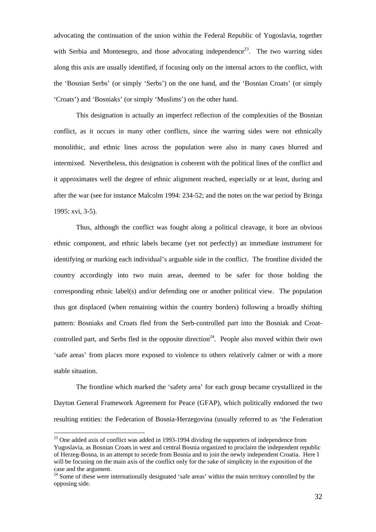advocating the continuation of the union within the Federal Republic of Yugoslavia, together with Serbia and Montenegro, and those advocating independence<sup>23</sup>. The two warring sides along this axis are usually identified, if focusing only on the internal actors to the conflict, with the 'Bosnian Serbs' (or simply 'Serbs') on the one hand, and the 'Bosnian Croats' (or simply 'Croats') and 'Bosniaks' (or simply 'Muslims') on the other hand.

 This designation is actually an imperfect reflection of the complexities of the Bosnian conflict, as it occurs in many other conflicts, since the warring sides were not ethnically monolithic, and ethnic lines across the population were also in many cases blurred and intermixed. Nevertheless, this designation is coherent with the political lines of the conflict and it approximates well the degree of ethnic alignment reached, especially or at least, during and after the war (see for instance Malcolm 1994: 234-52; and the notes on the war period by Bringa 1995: xvi, 3-5).

 Thus, although the conflict was fought along a political cleavage, it bore an obvious ethnic component, and ethnic labels became (yet not perfectly) an immediate instrument for identifying or marking each individual's arguable side in the conflict. The frontline divided the country accordingly into two main areas, deemed to be safer for those holding the corresponding ethnic label(s) and/or defending one or another political view. The population thus got displaced (when remaining within the country borders) following a broadly shifting pattern: Bosniaks and Croats fled from the Serb-controlled part into the Bosniak and Croatcontrolled part, and Serbs fled in the opposite direction<sup>24</sup>. People also moved within their own 'safe areas' from places more exposed to violence to others relatively calmer or with a more stable situation.

 The frontline which marked the 'safety area' for each group became crystallized in the Dayton General Framework Agreement for Peace (GFAP), which politically endorsed the two resulting entities: the Federation of Bosnia-Herzegovina (usually referred to as 'the Federation

 $23$  One added axis of conflict was added in 1993-1994 dividing the supporters of independence from Yugoslavia, as Bosnian Croats in west and central Bosnia organized to proclaim the independent republic of Herzeg-Bosna, in an attempt to secede from Bosnia and to join the newly independent Croatia. Here I will be focusing on the main axis of the conflict only for the sake of simplicity in the exposition of the case and the argument.

<sup>&</sup>lt;sup>24</sup> Some of these were internationally designated 'safe areas' within the main territory controlled by the opposing side.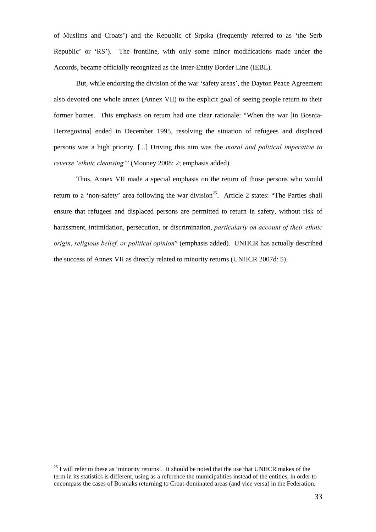of Muslims and Croats') and the Republic of Srpska (frequently referred to as 'the Serb Republic' or 'RS'). The frontline, with only some minor modifications made under the Accords, became officially recognized as the Inter-Entity Border Line (IEBL).

 But, while endorsing the division of the war 'safety areas', the Dayton Peace Agreement also devoted one whole annex (Annex VII) to the explicit goal of seeing people return to their former homes. This emphasis on return had one clear rationale: "When the war [in Bosnia-Herzegovina] ended in December 1995, resolving the situation of refugees and displaced persons was a high priority. [...] Driving this aim was the *moral and political imperative to reverse 'ethnic cleansing'*" (Mooney 2008: 2; emphasis added).

 Thus, Annex VII made a special emphasis on the return of those persons who would return to a 'non-safety' area following the war division<sup>25</sup>. Article 2 states: "The Parties shall ensure that refugees and displaced persons are permitted to return in safety, without risk of harassment, intimidation, persecution, or discrimination, *particularly on account of their ethnic origin, religious belief, or political opinion*" (emphasis added). UNHCR has actually described the success of Annex VII as directly related to minority returns (UNHCR 2007d: 5).

<sup>&</sup>lt;sup>25</sup> I will refer to these as 'minority returns'. It should be noted that the use that UNHCR makes of the term in its statistics is different, using as a reference the municipalities instead of the entities, in order to encompass the cases of Bosniaks returning to Croat-dominated areas (and vice versa) in the Federation.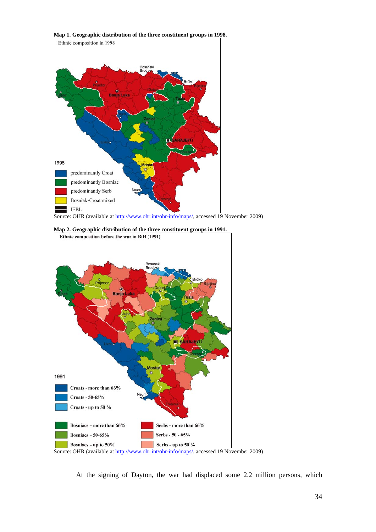**Map 1. Geographic distribution of the three constituent groups in 1998.**



Source: OHR (available at http://www.ohr.int/ohr-info/maps/, accessed 19 November 2009)



At the signing of Dayton, the war had displaced some 2.2 million persons, which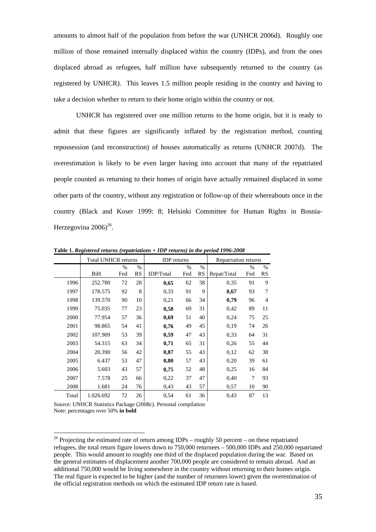amounts to almost half of the population from before the war (UNHCR 2006d). Roughly one million of those remained internally displaced within the country (IDPs), and from the ones displaced abroad as refugees, half million have subsequently returned to the country (as registered by UNHCR). This leaves 1.5 million people residing in the country and having to take a decision whether to return to their home origin within the country or not.

 UNHCR has registered over one million returns to the home origin, but it is ready to admit that these figures are significantly inflated by the registration method, counting repossession (and reconstruction) of houses automatically as returns (UNHCR 2007d). The overestimation is likely to be even larger having into account that many of the repatriated people counted as returning to their homes of origin have actually remained displaced in some other parts of the country, without any registration or follow-up of their whereabouts once in the country (Black and Koser 1999: 8; Helsinki Committee for Human Rights in Bosnia-Herzegovina  $2006$ <sup>26</sup>.

|       | <b>Total UNHCR returns</b> |      |           | <b>IDP</b> returns |      |      | Repatriation returns |      |                |
|-------|----------------------------|------|-----------|--------------------|------|------|----------------------|------|----------------|
|       |                            | $\%$ | $\%$      |                    | $\%$ | $\%$ |                      | $\%$ | %              |
|       | BiH                        | Fed  | <b>RS</b> | <b>IDP/Total</b>   | Fed  | RS   | Repat/Total          | Fed  | RS             |
| 1996  | 252.780                    | 72   | 28        | 0,65               | 62   | 38   | 0.35                 | 91   | 9              |
| 1997  | 178.575                    | 92   | 8         | 0.33               | 91   | 9    | 0,67                 | 93   | 7              |
| 1998  | 139.570                    | 90   | 10        | 0,21               | 66   | 34   | 0,79                 | 96   | $\overline{4}$ |
| 1999  | 75.035                     | 77   | 23        | 0,58               | 69   | 31   | 0,42                 | 89   | 11             |
| 2000  | 77.954                     | 57   | 36        | 0,69               | 51   | 40   | 0,24                 | 75   | 25             |
| 2001  | 98.865                     | 54   | 41        | 0,76               | 49   | 45   | 0.19                 | 74   | 26             |
| 2002  | 107.909                    | 53   | 39        | 0,59               | 47   | 43   | 0.33                 | 64   | 31             |
| 2003  | 54.315                     | 63   | 34        | 0,71               | 65   | 31   | 0,26                 | 55   | 44             |
| 2004  | 20.390                     | 56   | 42        | 0,87               | 55   | 43   | 0,12                 | 62   | 38             |
| 2005  | 6.437                      | 53   | 47        | 0,80               | 57   | 43   | 0,20                 | 39   | 61             |
| 2006  | 5.603                      | 43   | 57        | 0,75               | 52   | 48   | 0.25                 | 16   | 84             |
| 2007  | 7.578                      | 25   | 66        | 0.22               | 37   | 47   | 0,40                 | 7    | 93             |
| 2008  | 1.681                      | 24   | 76        | 0.43               | 43   | 57   | 0.57                 | 10   | 90             |
| Total | 1.026.692                  | 72   | 26        | 0.54               | 61   | 36   | 0,43                 | 87   | 13             |

**Table 1.** *Registered returns (repatriations + IDP returns) in the period 1996-2008* 

Source: UNHCR Statistics Package (2008c). Personal compilation Note: percentages over 50% **in bold**

<sup>&</sup>lt;sup>26</sup> Projecting the estimated rate of return among IDPs – roughly 50 percent – on these repatriated refugees, the total return figure lowers down to 750,000 returnees – 500,000 IDPs and 250,000 repatriated people. This would amount to roughly one third of the displaced population during the war. Based on the general estimates of displacement another 700,000 people are considered to remain abroad. And an additional 750,000 would be living somewhere in the country without returning to their homes origin. The real figure is expected to be higher (and the number of returnees lower) given the overestimation of the official registration methods on which the estimated IDP return rate is based.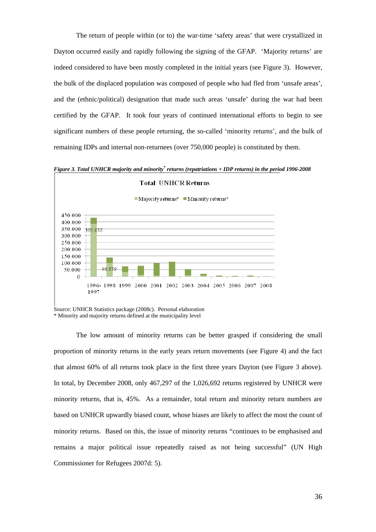The return of people within (or to) the war-time 'safety areas' that were crystallized in Dayton occurred easily and rapidly following the signing of the GFAP. 'Majority returns' are indeed considered to have been mostly completed in the initial years (see Figure 3). However, the bulk of the displaced population was composed of people who had fled from 'unsafe areas', and the (ethnic/political) designation that made such areas 'unsafe' during the war had been certified by the GFAP. It took four years of continued international efforts to begin to see significant numbers of these people returning, the so-called 'minority returns', and the bulk of remaining IDPs and internal non-returnees (over 750,000 people) is constituted by them.

Figure 3. Total UNHCR majority and minority<sup>\*</sup> returns (repatriations + IDP returns) in the period 1996-2008



\* Minority and majority returns defined at the municipality level

The low amount of minority returns can be better grasped if considering the small proportion of minority returns in the early years return movements (see Figure 4) and the fact that almost 60% of all returns took place in the first three years Dayton (see Figure 3 above). In total, by December 2008, only 467,297 of the 1,026,692 returns registered by UNHCR were minority returns, that is, 45%. As a remainder, total return and minority return numbers are based on UNHCR upwardly biased count, whose biases are likely to affect the most the count of minority returns. Based on this, the issue of minority returns "continues to be emphasised and remains a major political issue repeatedly raised as not being successful" (UN High Commissioner for Refugees 2007d: 5).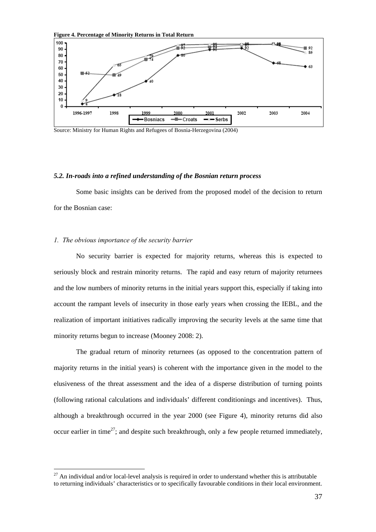

Source: Ministry for Human Rights and Refugees of Bosnia-Herzegovina (2004)

# *5.2. In-roads into a refined understanding of the Bosnian return process*

 Some basic insights can be derived from the proposed model of the decision to return for the Bosnian case:

# *1. The obvious importance of the security barrier*

 $\overline{a}$ 

No security barrier is expected for majority returns, whereas this is expected to seriously block and restrain minority returns. The rapid and easy return of majority returnees and the low numbers of minority returns in the initial years support this, especially if taking into account the rampant levels of insecurity in those early years when crossing the IEBL, and the realization of important initiatives radically improving the security levels at the same time that minority returns begun to increase (Mooney 2008: 2).

 The gradual return of minority returnees (as opposed to the concentration pattern of majority returns in the initial years) is coherent with the importance given in the model to the elusiveness of the threat assessment and the idea of a disperse distribution of turning points (following rational calculations and individuals' different conditionings and incentives). Thus, although a breakthrough occurred in the year 2000 (see Figure 4), minority returns did also occur earlier in time<sup>27</sup>; and despite such breakthrough, only a few people returned immediately,

 $27$  An individual and/or local-level analysis is required in order to understand whether this is attributable to returning individuals' characteristics or to specifically favourable conditions in their local environment.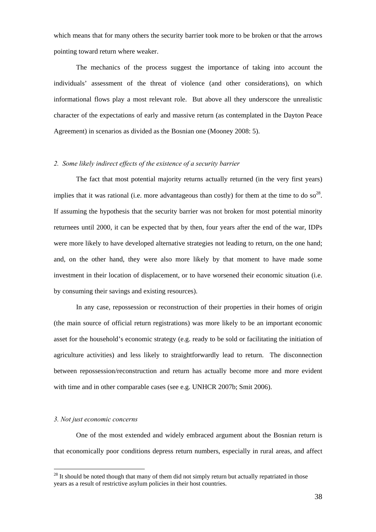which means that for many others the security barrier took more to be broken or that the arrows pointing toward return where weaker.

 The mechanics of the process suggest the importance of taking into account the individuals' assessment of the threat of violence (and other considerations), on which informational flows play a most relevant role. But above all they underscore the unrealistic character of the expectations of early and massive return (as contemplated in the Dayton Peace Agreement) in scenarios as divided as the Bosnian one (Mooney 2008: 5).

# *2. Some likely indirect effects of the existence of a security barrier*

The fact that most potential majority returns actually returned (in the very first years) implies that it was rational (i.e. more advantageous than costly) for them at the time to do so<sup>28</sup>. If assuming the hypothesis that the security barrier was not broken for most potential minority returnees until 2000, it can be expected that by then, four years after the end of the war, IDPs were more likely to have developed alternative strategies not leading to return, on the one hand; and, on the other hand, they were also more likely by that moment to have made some investment in their location of displacement, or to have worsened their economic situation (i.e. by consuming their savings and existing resources).

 In any case, repossession or reconstruction of their properties in their homes of origin (the main source of official return registrations) was more likely to be an important economic asset for the household's economic strategy (e.g. ready to be sold or facilitating the initiation of agriculture activities) and less likely to straightforwardly lead to return. The disconnection between repossession/reconstruction and return has actually become more and more evident with time and in other comparable cases (see e.g. UNHCR 2007b; Smit 2006).

## *3. Not just economic concerns*

 $\overline{a}$ 

One of the most extended and widely embraced argument about the Bosnian return is that economically poor conditions depress return numbers, especially in rural areas, and affect

 $28$  It should be noted though that many of them did not simply return but actually repatriated in those years as a result of restrictive asylum policies in their host countries.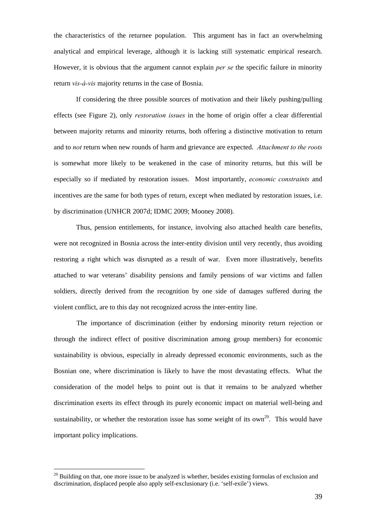the characteristics of the returnee population. This argument has in fact an overwhelming analytical and empirical leverage, although it is lacking still systematic empirical research. However, it is obvious that the argument cannot explain *per se* the specific failure in minority return *vis-à-vis* majority returns in the case of Bosnia.

 If considering the three possible sources of motivation and their likely pushing/pulling effects (see Figure 2), only *restoration issues* in the home of origin offer a clear differential between majority returns and minority returns, both offering a distinctive motivation to return and to *not* return when new rounds of harm and grievance are expected. *Attachment to the roots* is somewhat more likely to be weakened in the case of minority returns, but this will be especially so if mediated by restoration issues. Most importantly, *economic constraints* and incentives are the same for both types of return, except when mediated by restoration issues, i.e. by discrimination (UNHCR 2007d; IDMC 2009; Mooney 2008).

 Thus, pension entitlements, for instance, involving also attached health care benefits, were not recognized in Bosnia across the inter-entity division until very recently, thus avoiding restoring a right which was disrupted as a result of war. Even more illustratively, benefits attached to war veterans' disability pensions and family pensions of war victims and fallen soldiers, directly derived from the recognition by one side of damages suffered during the violent conflict, are to this day not recognized across the inter-entity line.

The importance of discrimination (either by endorsing minority return rejection or through the indirect effect of positive discrimination among group members) for economic sustainability is obvious, especially in already depressed economic environments, such as the Bosnian one, where discrimination is likely to have the most devastating effects. What the consideration of the model helps to point out is that it remains to be analyzed whether discrimination exerts its effect through its purely economic impact on material well-being and sustainability, or whether the restoration issue has some weight of its own<sup>29</sup>. This would have important policy implications.

 $29$  Building on that, one more issue to be analyzed is whether, besides existing formulas of exclusion and discrimination, displaced people also apply self-exclusionary (i.e. 'self-exile') views.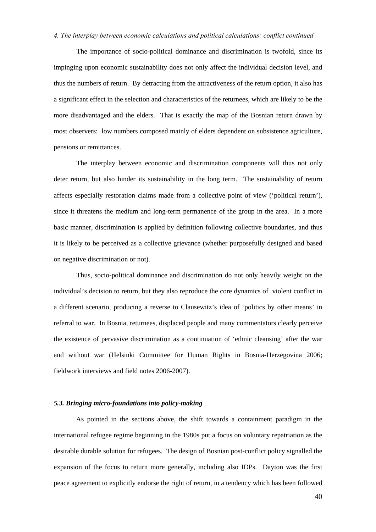# *4. The interplay between economic calculations and political calculations: conflict continued*

The importance of socio-political dominance and discrimination is twofold, since its impinging upon economic sustainability does not only affect the individual decision level, and thus the numbers of return. By detracting from the attractiveness of the return option, it also has a significant effect in the selection and characteristics of the returnees, which are likely to be the more disadvantaged and the elders. That is exactly the map of the Bosnian return drawn by most observers: low numbers composed mainly of elders dependent on subsistence agriculture, pensions or remittances.

The interplay between economic and discrimination components will thus not only deter return, but also hinder its sustainability in the long term. The sustainability of return affects especially restoration claims made from a collective point of view ('political return'), since it threatens the medium and long-term permanence of the group in the area. In a more basic manner, discrimination is applied by definition following collective boundaries, and thus it is likely to be perceived as a collective grievance (whether purposefully designed and based on negative discrimination or not).

Thus, socio-political dominance and discrimination do not only heavily weight on the individual's decision to return, but they also reproduce the core dynamics of violent conflict in a different scenario, producing a reverse to Clausewitz's idea of 'politics by other means' in referral to war. In Bosnia, returnees, displaced people and many commentators clearly perceive the existence of pervasive discrimination as a continuation of 'ethnic cleansing' after the war and without war (Helsinki Committee for Human Rights in Bosnia-Herzegovina 2006; fieldwork interviews and field notes 2006-2007).

#### *5.3. Bringing micro-foundations into policy-making*

 As pointed in the sections above, the shift towards a containment paradigm in the international refugee regime beginning in the 1980s put a focus on voluntary repatriation as the desirable durable solution for refugees. The design of Bosnian post-conflict policy signalled the expansion of the focus to return more generally, including also IDPs. Dayton was the first peace agreement to explicitly endorse the right of return, in a tendency which has been followed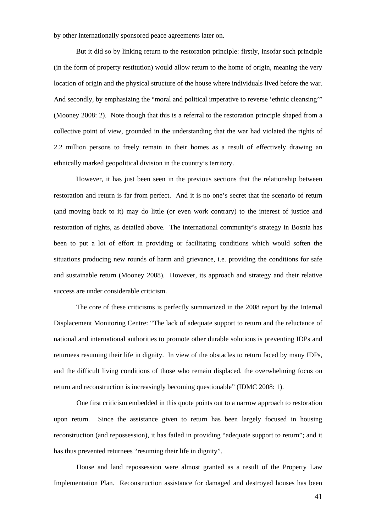by other internationally sponsored peace agreements later on.

 But it did so by linking return to the restoration principle: firstly, insofar such principle (in the form of property restitution) would allow return to the home of origin, meaning the very location of origin and the physical structure of the house where individuals lived before the war. And secondly, by emphasizing the "moral and political imperative to reverse 'ethnic cleansing'" (Mooney 2008: 2). Note though that this is a referral to the restoration principle shaped from a collective point of view, grounded in the understanding that the war had violated the rights of 2.2 million persons to freely remain in their homes as a result of effectively drawing an ethnically marked geopolitical division in the country's territory.

 However, it has just been seen in the previous sections that the relationship between restoration and return is far from perfect. And it is no one's secret that the scenario of return (and moving back to it) may do little (or even work contrary) to the interest of justice and restoration of rights, as detailed above. The international community's strategy in Bosnia has been to put a lot of effort in providing or facilitating conditions which would soften the situations producing new rounds of harm and grievance, i.e. providing the conditions for safe and sustainable return (Mooney 2008). However, its approach and strategy and their relative success are under considerable criticism.

 The core of these criticisms is perfectly summarized in the 2008 report by the Internal Displacement Monitoring Centre: "The lack of adequate support to return and the reluctance of national and international authorities to promote other durable solutions is preventing IDPs and returnees resuming their life in dignity. In view of the obstacles to return faced by many IDPs, and the difficult living conditions of those who remain displaced, the overwhelming focus on return and reconstruction is increasingly becoming questionable" (IDMC 2008: 1).

One first criticism embedded in this quote points out to a narrow approach to restoration upon return. Since the assistance given to return has been largely focused in housing reconstruction (and repossession), it has failed in providing "adequate support to return"; and it has thus prevented returnees "resuming their life in dignity".

House and land repossession were almost granted as a result of the Property Law Implementation Plan. Reconstruction assistance for damaged and destroyed houses has been

41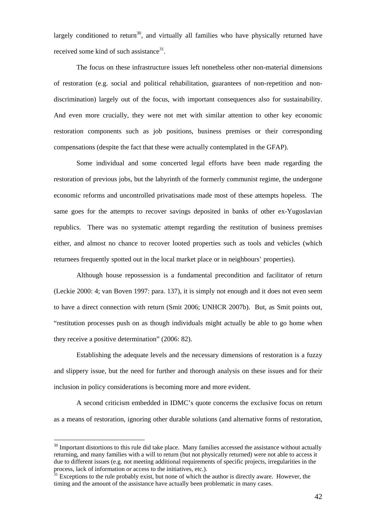largely conditioned to return<sup>30</sup>, and virtually all families who have physically returned have received some kind of such assistance<sup>31</sup>.

The focus on these infrastructure issues left nonetheless other non-material dimensions of restoration (e.g. social and political rehabilitation, guarantees of non-repetition and nondiscrimination) largely out of the focus, with important consequences also for sustainability. And even more crucially, they were not met with similar attention to other key economic restoration components such as job positions, business premises or their corresponding compensations (despite the fact that these were actually contemplated in the GFAP).

Some individual and some concerted legal efforts have been made regarding the restoration of previous jobs, but the labyrinth of the formerly communist regime, the undergone economic reforms and uncontrolled privatisations made most of these attempts hopeless. The same goes for the attempts to recover savings deposited in banks of other ex-Yugoslavian republics. There was no systematic attempt regarding the restitution of business premises either, and almost no chance to recover looted properties such as tools and vehicles (which returnees frequently spotted out in the local market place or in neighbours' properties).

Although house repossession is a fundamental precondition and facilitator of return (Leckie 2000: 4; van Boven 1997: para. 137), it is simply not enough and it does not even seem to have a direct connection with return (Smit 2006; UNHCR 2007b). But, as Smit points out, "restitution processes push on as though individuals might actually be able to go home when they receive a positive determination" (2006: 82).

Establishing the adequate levels and the necessary dimensions of restoration is a fuzzy and slippery issue, but the need for further and thorough analysis on these issues and for their inclusion in policy considerations is becoming more and more evident.

A second criticism embedded in IDMC's quote concerns the exclusive focus on return as a means of restoration, ignoring other durable solutions (and alternative forms of restoration,

<sup>&</sup>lt;sup>30</sup> Important distortions to this rule did take place. Many families accessed the assistance without actually returning, and many families with a will to return (but not physically returned) were not able to access it due to different issues (e.g. not meeting additional requirements of specific projects, irregularities in the process, lack of information or access to the initiatives, etc.).<br><sup>31</sup> Exceptions to the rule probably exist, but none of which the author is directly aware. However, the

timing and the amount of the assistance have actually been problematic in many cases.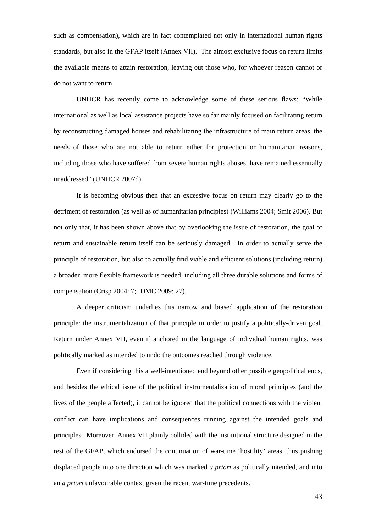such as compensation), which are in fact contemplated not only in international human rights standards, but also in the GFAP itself (Annex VII). The almost exclusive focus on return limits the available means to attain restoration, leaving out those who, for whoever reason cannot or do not want to return.

UNHCR has recently come to acknowledge some of these serious flaws: "While international as well as local assistance projects have so far mainly focused on facilitating return by reconstructing damaged houses and rehabilitating the infrastructure of main return areas, the needs of those who are not able to return either for protection or humanitarian reasons, including those who have suffered from severe human rights abuses, have remained essentially unaddressed" (UNHCR 2007d).

It is becoming obvious then that an excessive focus on return may clearly go to the detriment of restoration (as well as of humanitarian principles) (Williams 2004; Smit 2006). But not only that, it has been shown above that by overlooking the issue of restoration, the goal of return and sustainable return itself can be seriously damaged. In order to actually serve the principle of restoration, but also to actually find viable and efficient solutions (including return) a broader, more flexible framework is needed, including all three durable solutions and forms of compensation (Crisp 2004: 7; IDMC 2009: 27).

A deeper criticism underlies this narrow and biased application of the restoration principle: the instrumentalization of that principle in order to justify a politically-driven goal. Return under Annex VII, even if anchored in the language of individual human rights, was politically marked as intended to undo the outcomes reached through violence.

Even if considering this a well-intentioned end beyond other possible geopolitical ends, and besides the ethical issue of the political instrumentalization of moral principles (and the lives of the people affected), it cannot be ignored that the political connections with the violent conflict can have implications and consequences running against the intended goals and principles. Moreover, Annex VII plainly collided with the institutional structure designed in the rest of the GFAP, which endorsed the continuation of war-time 'hostility' areas, thus pushing displaced people into one direction which was marked *a priori* as politically intended, and into an *a priori* unfavourable context given the recent war-time precedents.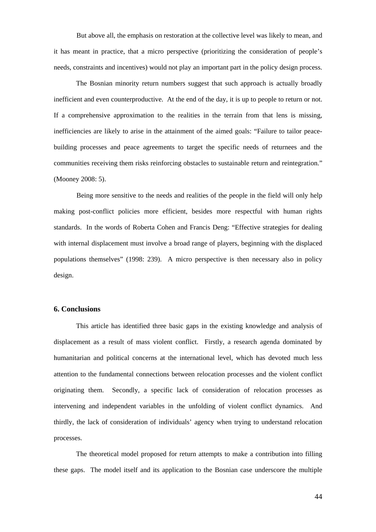But above all, the emphasis on restoration at the collective level was likely to mean, and it has meant in practice, that a micro perspective (prioritizing the consideration of people's needs, constraints and incentives) would not play an important part in the policy design process.

 The Bosnian minority return numbers suggest that such approach is actually broadly inefficient and even counterproductive. At the end of the day, it is up to people to return or not. If a comprehensive approximation to the realities in the terrain from that lens is missing, inefficiencies are likely to arise in the attainment of the aimed goals: "Failure to tailor peacebuilding processes and peace agreements to target the specific needs of returnees and the communities receiving them risks reinforcing obstacles to sustainable return and reintegration." (Mooney 2008: 5).

Being more sensitive to the needs and realities of the people in the field will only help making post-conflict policies more efficient, besides more respectful with human rights standards. In the words of Roberta Cohen and Francis Deng: "Effective strategies for dealing with internal displacement must involve a broad range of players, beginning with the displaced populations themselves" (1998: 239). A micro perspective is then necessary also in policy design.

# **6. Conclusions**

 This article has identified three basic gaps in the existing knowledge and analysis of displacement as a result of mass violent conflict. Firstly, a research agenda dominated by humanitarian and political concerns at the international level, which has devoted much less attention to the fundamental connections between relocation processes and the violent conflict originating them. Secondly, a specific lack of consideration of relocation processes as intervening and independent variables in the unfolding of violent conflict dynamics. And thirdly, the lack of consideration of individuals' agency when trying to understand relocation processes.

The theoretical model proposed for return attempts to make a contribution into filling these gaps. The model itself and its application to the Bosnian case underscore the multiple

44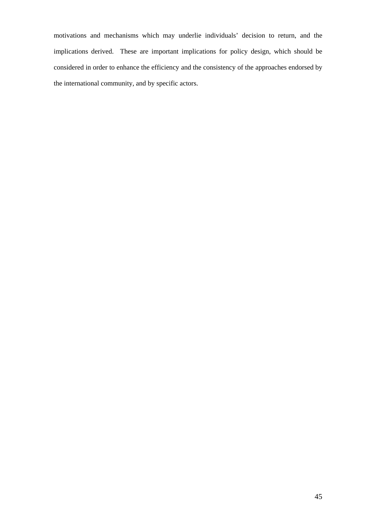motivations and mechanisms which may underlie individuals' decision to return, and the implications derived. These are important implications for policy design, which should be considered in order to enhance the efficiency and the consistency of the approaches endorsed by the international community, and by specific actors.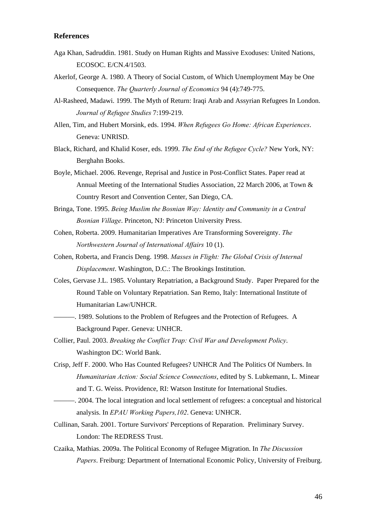# **References**

- Aga Khan, Sadruddin. 1981. Study on Human Rights and Massive Exoduses: United Nations, ECOSOC. E/CN.4/1503.
- Akerlof, George A. 1980. A Theory of Social Custom, of Which Unemployment May be One Consequence. *The Quarterly Journal of Economics* 94 (4):749-775.
- Al-Rasheed, Madawi. 1999. The Myth of Return: Iraqi Arab and Assyrian Refugees In London. *Journal of Refugee Studies* 7:199-219.
- Allen, Tim, and Hubert Morsink, eds. 1994. *When Refugees Go Home: African Experiences*. Geneva: UNRISD.
- Black, Richard, and Khalid Koser, eds. 1999. *The End of the Refugee Cycle?* New York, NY: Berghahn Books.
- Boyle, Michael. 2006. Revenge, Reprisal and Justice in Post-Conflict States. Paper read at Annual Meeting of the International Studies Association, 22 March 2006, at Town & Country Resort and Convention Center, San Diego, CA.
- Bringa, Tone. 1995. *Being Muslim the Bosnian Way: Identity and Community in a Central Bosnian Village*. Princeton, NJ: Princeton University Press.
- Cohen, Roberta. 2009. Humanitarian Imperatives Are Transforming Sovereignty. *The Northwestern Journal of International Affairs* 10 (1).
- Cohen, Roberta, and Francis Deng. 1998. *Masses in Flight: The Global Crisis of Internal Displacement*. Washington, D.C.: The Brookings Institution.
- Coles, Gervase J.L. 1985. Voluntary Repatriation, a Background Study. Paper Prepared for the Round Table on Voluntary Repatriation. San Remo, Italy: International Institute of Humanitarian Law/UNHCR.
	- ———. 1989. Solutions to the Problem of Refugees and the Protection of Refugees. A Background Paper. Geneva: UNHCR.
- Collier, Paul. 2003. *Breaking the Conflict Trap: Civil War and Development Policy*. Washington DC: World Bank.
- Crisp, Jeff F. 2000. Who Has Counted Refugees? UNHCR And The Politics Of Numbers. In *Humanitarian Action: Social Science Connections*, edited by S. Lubkemann, L. Minear and T. G. Weiss. Providence, RI: Watson Institute for International Studies.
- ———. 2004. The local integration and local settlement of refugees: a conceptual and historical analysis. In *EPAU Working Papers,102*. Geneva: UNHCR.
- Cullinan, Sarah. 2001. Torture Survivors' Perceptions of Reparation. Preliminary Survey. London: The REDRESS Trust.
- Czaika, Mathias. 2009a. The Political Economy of Refugee Migration. In *The Discussion Papers*. Freiburg: Department of International Economic Policy, University of Freiburg.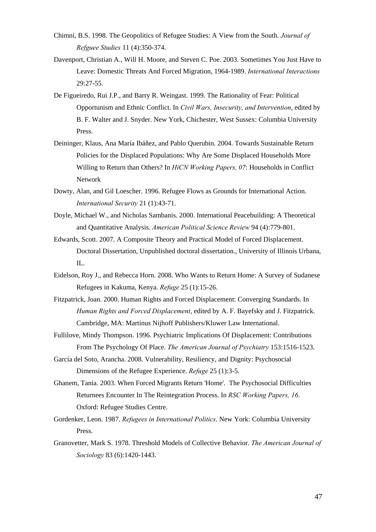- Chimni, B.S. 1998. The Geopolitics of Refugee Studies: A View from the South. *Journal of Refguee Studies* 11 (4):350-374.
- Davenport, Christian A., Will H. Moore, and Steven C. Poe. 2003. Sometimes You Just Have to Leave: Domestic Threats And Forced Migration, 1964-1989. *International Interactions* 29:27-55.
- De Figueiredo, Rui J.P., and Barry R. Weingast. 1999. The Rationality of Fear: Political Opportunism and Ethnic Conflict. In *Civil Wars, Insecurity, and Intervention*, edited by B. F. Walter and J. Snyder. New York, Chichester, West Sussex: Columbia University Press.
- Deininger, Klaus, Ana María Ibáñez, and Pablo Querubin. 2004. Towards Sustainable Return Policies for the Displaced Populations: Why Are Some Displaced Households More Willing to Return than Others? In *HiCN Working Papers, 07*: Households in Conflict Network
- Dowty, Alan, and Gil Loescher. 1996. Refugee Flows as Grounds for International Action. *International Security* 21 (1):43-71.
- Doyle, Michael W., and Nicholas Sambanis. 2000. International Peacebuilding: A Theoretical and Quantitative Analysis. *American Political Science Review* 94 (4):779-801.
- Edwards, Scott. 2007. A Composite Theory and Practical Model of Forced Displacement. Doctoral Dissertation, Unpublished doctoral dissertation., University of Illinois Urbana, IL.
- Eidelson, Roy J., and Rebecca Horn. 2008. Who Wants to Return Home: A Survey of Sudanese Refugees in Kakuma, Kenya. *Refuge* 25 (1):15-26.
- Fitzpatrick, Joan. 2000. Human Rights and Forced Displacement: Converging Standards. In *Human Rights and Forced Displacement*, edited by A. F. Bayefsky and J. Fitzpatrick. Cambridge, MA: Martinus Nijhoff Publishers/Kluwer Law International.
- Fullilove, Mindy Thompson. 1996. Psychiatric Implications Of Displacement: Contributions From The Psychology Of Place. *The American Journal of Psychiatry* 153:1516-1523.
- García del Soto, Arancha. 2008. Vulnerability, Resiliency, and Dignity: Psychosocial Dimensions of the Refugee Experience. *Refuge* 25 (1):3-5.
- Ghanem, Tania. 2003. When Forced Migrants Return 'Home'. The Psychosocial Difficulties Returnees Encounter In The Reintegration Process. In *RSC Working Papers, 16*. Oxford: Refugee Studies Centre.
- Gordenker, Leon. 1987. *Refugees in International Politics*. New York: Columbia University Press.
- Granovetter, Mark S. 1978. Threshold Models of Collective Behavior. *The American Journal of Sociology* 83 (6):1420-1443.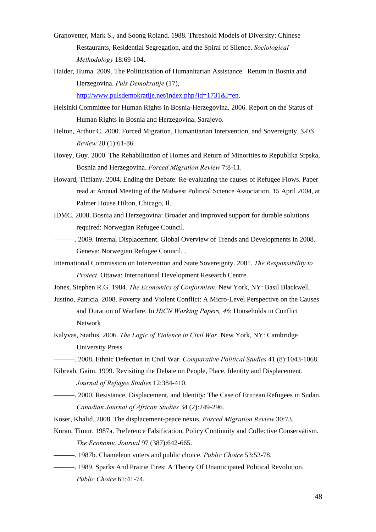- Granovetter, Mark S., and Soong Roland. 1988. Threshold Models of Diversity: Chinese Restaurants, Residential Segregation, and the Spiral of Silence. *Sociological Methodology* 18:69-104.
- Haider, Huma. 2009. The Politicisation of Humanitarian Assistance. Return in Bosnia and Herzegovina. *Puls Demokratije* (17), http://www.pulsdemokratije.net/index.php?id=1731&l=en.
- Helsinki Committee for Human Rights in Bosnia-Herzegovina. 2006. Report on the Status of Human Rights in Bosnia and Herzegovina. Sarajevo.
- Helton, Arthur C. 2000. Forced Migration, Humanitarian Intervention, and Sovereignty. *SAIS Review* 20 (1):61-86.
- Hovey, Guy. 2000. The Rehabilitation of Homes and Return of Minorities to Republika Srpska, Bosnia and Herzegovina. *Forced Migration Review* 7:8-11.
- Howard, Tiffiany. 2004. Ending the Debate: Re-evaluating the causes of Refugee Flows. Paper read at Annual Meeting of the Midwest Political Science Association, 15 April 2004, at Palmer House Hilton, Chicago, Il.
- IDMC. 2008. Bosnia and Herzegovina: Broader and improved support for durable solutions required: Norwegian Refugee Council.
- ———. 2009. Internal Displacement. Global Overview of Trends and Developments in 2008. Geneva: Norwegian Refugee Council. .
- International Commission on Intervention and State Sovereignty. 2001. *The Responsibility to Protect*. Ottawa: International Development Research Centre.
- Jones, Stephen R.G. 1984. *The Economics of Conformism*. New York, NY: Basil Blackwell.
- Justino, Patricia. 2008. Poverty and Violent Conflict: A Micro-Level Perspective on the Causes and Duration of Warfare. In *HiCN Working Papers, 46*: Households in Conflict Network
- Kalyvas, Stathis. 2006. *The Logic of Violence in Civil War*. New York, NY: Cambridge University Press.
- ———. 2008. Ethnic Defection in Civil War. *Comparative Political Studies* 41 (8):1043-1068.
- Kibreab, Gaim. 1999. Revisiting the Debate on People, Place, Identity and Displacement. *Journal of Refugee Studies* 12:384-410.
- ———. 2000. Resistance, Displacement, and Identity: The Case of Eritrean Refugees in Sudan. *Canadian Journal of African Studies* 34 (2):249-296.
- Koser, Khalid. 2008. The displacement-peace nexus. *Forced Migration Review* 30:73.
- Kuran, Timur. 1987a. Preference Falsification, Policy Continuity and Collective Conservatism. *The Economic Journal* 97 (387):642-665.
- ———. 1987b. Chameleon voters and public choice. *Public Choice* 53:53-78.
- ———. 1989. Sparks And Prairie Fires: A Theory Of Unanticipated Political Revolution. *Public Choice* 61:41-74.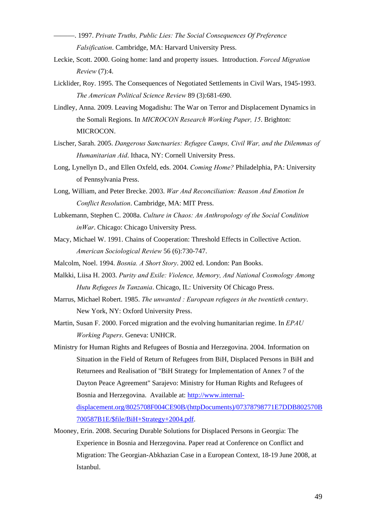- ———. 1997. *Private Truths, Public Lies: The Social Consequences Of Preference Falsification*. Cambridge, MA: Harvard University Press.
- Leckie, Scott. 2000. Going home: land and property issues. Introduction. *Forced Migration Review* (7):4.
- Licklider, Roy. 1995. The Consequences of Negotiated Settlements in Civil Wars, 1945-1993. *The American Political Science Review* 89 (3):681-690.
- Lindley, Anna. 2009. Leaving Mogadishu: The War on Terror and Displacement Dynamics in the Somali Regions. In *MICROCON Research Working Paper, 15*. Brighton: MICROCON.
- Lischer, Sarah. 2005. *Dangerous Sanctuaries: Refugee Camps, Civil War, and the Dilemmas of Humanitarian Aid*. Ithaca, NY: Cornell University Press.
- Long, Lynellyn D., and Ellen Oxfeld, eds. 2004. *Coming Home?* Philadelphia, PA: University of Pennsylvania Press.
- Long, William, and Peter Brecke. 2003. *War And Reconciliation: Reason And Emotion In Conflict Resolution*. Cambridge, MA: MIT Press.
- Lubkemann, Stephen C. 2008a. *Culture in Chaos: An Anthropology of the Social Condition inWar*. Chicago: Chicago University Press.
- Macy, Michael W. 1991. Chains of Cooperation: Threshold Effects in Collective Action. *American Sociological Review* 56 (6):730-747.
- Malcolm, Noel. 1994. *Bosnia. A Short Story*. 2002 ed. London: Pan Books.
- Malkki, Liisa H. 2003. *Purity and Exile: Violence, Memory, And National Cosmology Among Hutu Refugees In Tanzania*. Chicago, IL: University Of Chicago Press.
- Marrus, Michael Robert. 1985. *The unwanted : European refugees in the twentieth century*. New York, NY: Oxford University Press.
- Martin, Susan F. 2000. Forced migration and the evolving humanitarian regime. In *EPAU Working Papers*. Geneva: UNHCR.
- Ministry for Human Rights and Refugees of Bosnia and Herzegovina. 2004. Information on Situation in the Field of Return of Refugees from BiH, Displaced Persons in BiH and Returnees and Realisation of "BiH Strategy for Implementation of Annex 7 of the Dayton Peace Agreement" Sarajevo: Ministry for Human Rights and Refugees of Bosnia and Herzegovina. Available at: http://www.internaldisplacement.org/8025708F004CE90B/(httpDocuments)/07378798771E7DDB802570B 700587B1E/\$file/BiH+Strategy+2004.pdf.
- Mooney, Erin. 2008. Securing Durable Solutions for Displaced Persons in Georgia: The Experience in Bosnia and Herzegovina. Paper read at Conference on Conflict and Migration: The Georgian-Abkhazian Case in a European Context, 18-19 June 2008, at Istanbul.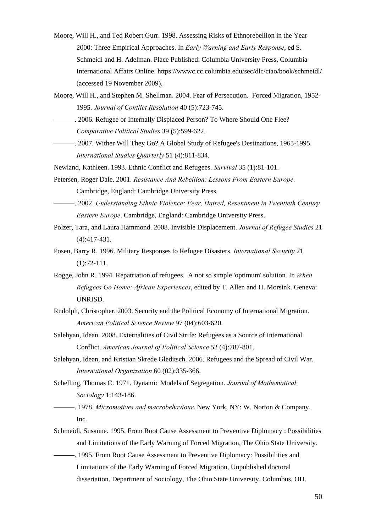- Moore, Will H., and Ted Robert Gurr. 1998. Assessing Risks of Ethnorebellion in the Year 2000: Three Empirical Approaches. In *Early Warning and Early Response*, ed S. Schmeidl and H. Adelman. Place Published: Columbia University Press, Columbia International Affairs Online. https://wwwc.cc.columbia.edu/sec/dlc/ciao/book/schmeidl/ (accessed 19 November 2009).
- Moore, Will H., and Stephen M. Shellman. 2004. Fear of Persecution. Forced Migration, 1952- 1995. *Journal of Conflict Resolution* 40 (5):723-745.
- ———. 2006. Refugee or Internally Displaced Person? To Where Should One Flee? *Comparative Political Studies* 39 (5):599-622.
- ———. 2007. Wither Will They Go? A Global Study of Refugee's Destinations, 1965-1995. *International Studies Quarterly* 51 (4):811-834.
- Newland, Kathleen. 1993. Ethnic Conflict and Refugees. *Survival* 35 (1):81-101.
- Petersen, Roger Dale. 2001. *Resistance And Rebellion: Lessons From Eastern Europe*. Cambridge, England: Cambridge University Press.
	- ———. 2002. *Understanding Ethnic Violence: Fear, Hatred, Resentment in Twentieth Century Eastern Europe*. Cambridge, England: Cambridge University Press.
- Polzer, Tara, and Laura Hammond. 2008. Invisible Displacement. *Journal of Refugee Studies* 21 (4):417-431.
- Posen, Barry R. 1996. Military Responses to Refugee Disasters. *International Security* 21 (1):72-111.
- Rogge, John R. 1994. Repatriation of refugees. A not so simple 'optimum' solution. In *When Refugees Go Home: African Experiences*, edited by T. Allen and H. Morsink. Geneva: UNRISD.
- Rudolph, Christopher. 2003. Security and the Political Economy of International Migration. *American Political Science Review* 97 (04):603-620.
- Salehyan, Idean. 2008. Externalities of Civil Strife: Refugees as a Source of International Conflict. *American Journal of Political Science* 52 (4):787-801.
- Salehyan, Idean, and Kristian Skrede Gleditsch. 2006. Refugees and the Spread of Civil War. *International Organization* 60 (02):335-366.
- Schelling, Thomas C. 1971. Dynamic Models of Segregation. *Journal of Mathematical Sociology* 1:143-186.
	- ———. 1978. *Micromotives and macrobehaviour*. New York, NY: W. Norton & Company, Inc.
- Schmeidl, Susanne. 1995. From Root Cause Assessment to Preventive Diplomacy : Possibilities and Limitations of the Early Warning of Forced Migration, The Ohio State University.
- ———. 1995. From Root Cause Assessment to Preventive Diplomacy: Possibilities and Limitations of the Early Warning of Forced Migration, Unpublished doctoral dissertation. Department of Sociology, The Ohio State University, Columbus, OH.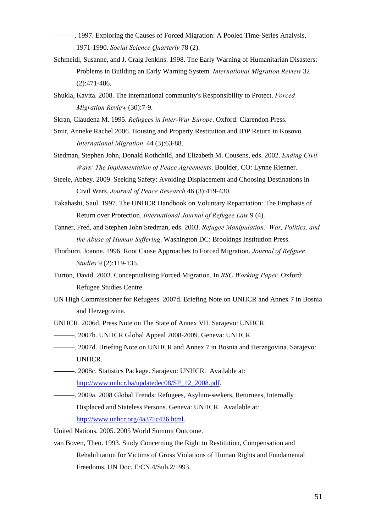- ———. 1997. Exploring the Causes of Forced Migration: A Pooled Time-Series Analysis, 1971-1990. *Social Science Quarterly* 78 (2).
- Schmeidl, Susanne, and J. Craig Jenkins. 1998. The Early Warning of Humanitarian Disasters: Problems in Building an Early Warning System. *International Migration Review* 32 (2):471-486.
- Shukla, Kavita. 2008. The international community's Responsibility to Protect. *Forced Migration Review* (30):7-9.
- Skran, Claudena M. 1995. *Refugees in Inter-War Europe*. Oxford: Clarendon Press.
- Smit, Anneke Rachel 2006. Housing and Property Restitution and IDP Return in Kosovo. *International Migration* 44 (3):63-88.
- Stedman, Stephen John, Donald Rothchild, and Elizabeth M. Cousens, eds. 2002. *Ending Civil Wars: The Implementation of Peace Agreements*. Boulder, CO: Lynne Rienner.
- Steele, Abbey. 2009. Seeking Safety: Avoiding Displacement and Choosing Destinations in Civil Wars. *Journal of Peace Research* 46 (3):419-430.
- Takahashi, Saul. 1997. The UNHCR Handbook on Voluntary Repatriation: The Emphasis of Return over Protection. *International Journal of Refugee Law* 9 (4).
- Tanner, Fred, and Stephen John Stedman, eds. 2003. *Refugee Manipulation. War, Politics, and the Abuse of Human Suffering*. Washington DC: Brookings Institution Press.
- Thorburn, Joanne. 1996. Root Cause Approaches to Forced Migration. *Journal of Refguee Studies* 9 (2):119-135.
- Turton, David. 2003. Conceptualising Forced Migration. In *RSC Working Paper*. Oxford: Refugee Studies Centre.
- UN High Commissioner for Refugees. 2007d. Briefing Note on UNHCR and Annex 7 in Bosnia and Herzegovina.
- UNHCR. 2006d. Press Note on The State of Annex VII. Sarajevo: UNHCR.
- ———. 2007b. UNHCR Global Appeal 2008-2009. Geneva: UNHCR.
- ———. 2007d. Briefing Note on UNHCR and Annex 7 in Bosnia and Herzegovina. Sarajevo: UNHCR.
- ———. 2008c. Statistics Package. Sarajevo: UNHCR. Available at: http://www.unhcr.ba/updatedec08/SP\_12\_2008.pdf.
- ———. 2009a. 2008 Global Trends: Refugees, Asylum-seekers, Returnees, Internally Displaced and Stateless Persons. Geneva: UNHCR. Available at: http://www.unhcr.org/4a375c426.html.

United Nations. 2005. 2005 World Summit Outcome.

van Boven, Theo. 1993. Study Concerning the Right to Restitution, Compensation and Rehabilitation for Victims of Gross Violations of Human Rights and Fundamental Freedoms. UN Doc. E/CN.4/Sub.2/1993.